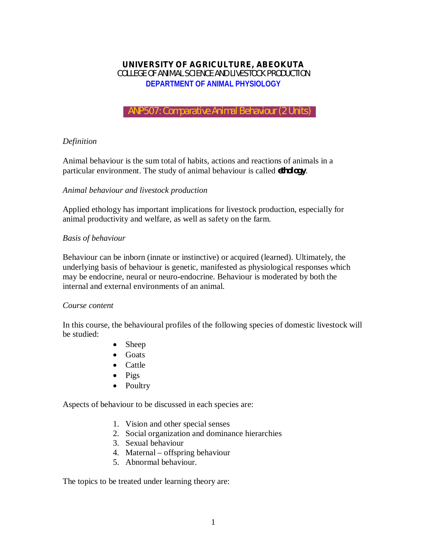# **UNIVERSITY OF AGRICULTURE, ABEOKUTA** COLLEGE OF ANIMAL SCIENCE AND LIVESTOCK PRODUCTION **DEPARTMENT OF ANIMAL PHYSIOLOGY**

ANP507: Comparative Animal Behaviour (2 Units)

# *Definition*

Animal behaviour is the sum total of habits, actions and reactions of animals in a particular environment. The study of animal behaviour is called **ethology**.

# *Animal behaviour and livestock production*

Applied ethology has important implications for livestock production, especially for animal productivity and welfare, as well as safety on the farm.

# *Basis of behaviour*

Behaviour can be inborn (innate or instinctive) or acquired (learned). Ultimately, the underlying basis of behaviour is genetic, manifested as physiological responses which may be endocrine, neural or neuro-endocrine. Behaviour is moderated by both the internal and external environments of an animal.

# *Course content*

In this course, the behavioural profiles of the following species of domestic livestock will be studied:

- Sheep
- Goats
- Cattle
- $\bullet$  Pigs
- Poultry

Aspects of behaviour to be discussed in each species are:

- 1. Vision and other special senses
- 2. Social organization and dominance hierarchies
- 3. Sexual behaviour
- 4. Maternal offspring behaviour
- 5. Abnormal behaviour.

The topics to be treated under learning theory are: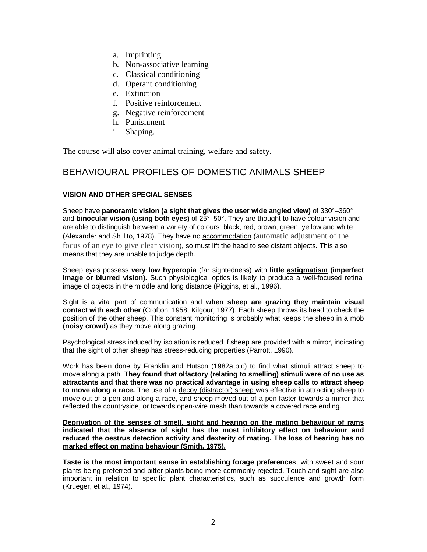- a. Imprinting
- b. Non-associative learning
- c. Classical conditioning
- d. Operant conditioning
- e. Extinction
- f. Positive reinforcement
- g. Negative reinforcement
- h. Punishment
- i. Shaping.

The course will also cover animal training, welfare and safety.

# BEHAVIOURAL PROFILES OF DOMESTIC ANIMALS SHEEP

# **VISION AND OTHER SPECIAL SENSES**

Sheep have **panoramic vision (a sight that gives the user wide angled view)** of 330°–360° and **binocular vision (using both eyes)** of 25°–50°. They are thought to have colour vision and are able to distinguish between a variety of colours: black, red, brown, green, yellow and white (Alexander and Shillito, 1978). They have no accommodation (automatic adjustment of the focus of an eye to give clear vision), so must lift the head to see distant objects. This also means that they are unable to judge depth.

Sheep eyes possess **very low hyperopia** (far sightedness) with **little astigmatism (imperfect image or blurred vision).** Such physiological optics is likely to produce a well-focused retinal image of objects in the middle and long distance (Piggins, et al., 1996).

Sight is a vital part of communication and **when sheep are grazing they maintain visual contact with each other** (Crofton, 1958; Kilgour, 1977). Each sheep throws its head to check the position of the other sheep. This constant monitoring is probably what keeps the sheep in a mob (**noisy crowd)** as they move along grazing.

Psychological stress induced by isolation is reduced if sheep are provided with a mirror, indicating that the sight of other sheep has stress-reducing properties (Parrott, 1990).

Work has been done by Franklin and Hutson (1982a,b,c) to find what stimuli attract sheep to move along a path. **They found that olfactory (relating to smelling) stimuli were of no use as attractants and that there was no practical advantage in using sheep calls to attract sheep to move along a race.** The use of a decoy (distractor) sheep was effective in attracting sheep to move out of a pen and along a race, and sheep moved out of a pen faster towards a mirror that reflected the countryside, or towards open-wire mesh than towards a covered race ending.

**Deprivation of the senses of smell, sight and hearing on the mating behaviour of rams indicated that the absence of sight has the most inhibitory effect on behaviour and reduced the oestrus detection activity and dexterity of mating. The loss of hearing has no marked effect on mating behaviour (Smith, 1975).**

**Taste is the most important sense in establishing forage preferences**, with sweet and sour plants being preferred and bitter plants being more commonly rejected. Touch and sight are also important in relation to specific plant characteristics, such as succulence and growth form (Krueger, et al., 1974).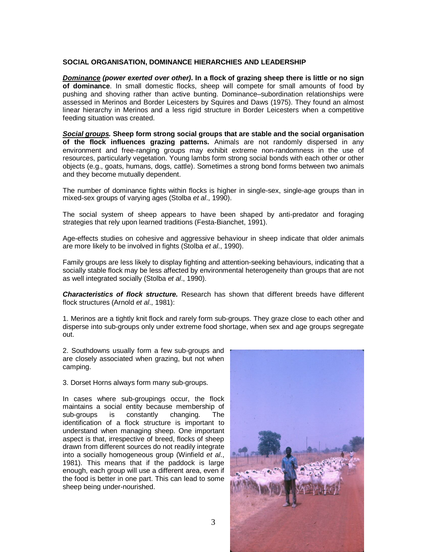## **SOCIAL ORGANISATION, DOMINANCE HIERARCHIES AND LEADERSHIP**

*Dominance (power exerted over other).* **In a flock of grazing sheep there is little or no sign of dominance**. In small domestic flocks, sheep will compete for small amounts of food by pushing and shoving rather than active bunting. Dominance–subordination relationships were assessed in Merinos and Border Leicesters by Squires and Daws (1975). They found an almost linear hierarchy in Merinos and a less rigid structure in Border Leicesters when a competitive feeding situation was created.

*Social groups.* **Sheep form strong social groups that are stable and the social organisation of the flock influences grazing patterns.** Animals are not randomly dispersed in any environment and free-ranging groups may exhibit extreme non-randomness in the use of resources, particularly vegetation. Young lambs form strong social bonds with each other or other objects (e.g., goats, humans, dogs, cattle). Sometimes a strong bond forms between two animals and they become mutually dependent.

The number of dominance fights within flocks is higher in single-sex, single-age groups than in mixed-sex groups of varying ages (Stolba *et al*., 1990).

The social system of sheep appears to have been shaped by anti-predator and foraging strategies that rely upon learned traditions (Festa-Bianchet, 1991).

Age-effects studies on cohesive and aggressive behaviour in sheep indicate that older animals are more likely to be involved in fights (Stolba *et al*., 1990).

Family groups are less likely to display fighting and attention-seeking behaviours, indicating that a socially stable flock may be less affected by environmental heterogeneity than groups that are not as well integrated socially (Stolba *et al*., 1990).

*Characteristics of flock structure.* Research has shown that different breeds have different flock structures (Arnold *et al*., 1981):

1. Merinos are a tightly knit flock and rarely form sub-groups. They graze close to each other and disperse into sub-groups only under extreme food shortage, when sex and age groups segregate out.

2. Southdowns usually form a few sub-groups and are closely associated when grazing, but not when camping.

3. Dorset Horns always form many sub-groups.

In cases where sub-groupings occur, the flock maintains a social entity because membership of sub-groups is constantly changing. The identification of a flock structure is important to understand when managing sheep. One important aspect is that, irrespective of breed, flocks of sheep drawn from different sources do not readily integrate into a socially homogeneous group (Winfield *et al*., 1981). This means that if the paddock is large enough, each group will use a different area, even if the food is better in one part. This can lead to some sheep being under-nourished.

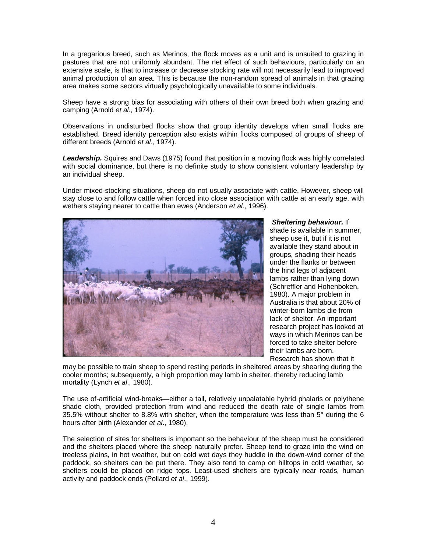In a gregarious breed, such as Merinos, the flock moves as a unit and is unsuited to grazing in pastures that are not uniformly abundant. The net effect of such behaviours, particularly on an extensive scale, is that to increase or decrease stocking rate will not necessarily lead to improved animal production of an area. This is because the non-random spread of animals in that grazing area makes some sectors virtually psychologically unavailable to some individuals.

Sheep have a strong bias for associating with others of their own breed both when grazing and camping (Arnold *et al*., 1974).

Observations in undisturbed flocks show that group identity develops when small flocks are established. Breed identity perception also exists within flocks composed of groups of sheep of different breeds (Arnold *et al*., 1974).

*Leadership.* Squires and Daws (1975) found that position in a moving flock was highly correlated with social dominance, but there is no definite study to show consistent voluntary leadership by an individual sheep.

Under mixed-stocking situations, sheep do not usually associate with cattle. However, sheep will stay close to and follow cattle when forced into close association with cattle at an early age, with wethers staying nearer to cattle than ewes (Anderson *et al*., 1996).



#### *Sheltering behaviour.* If shade is available in summer, sheep use it, but if it is not available they stand about in groups, shading their heads under the flanks or between the hind legs of adjacent lambs rather than lying down (Schreffler and Hohenboken, 1980). A major problem in Australia is that about 20% of winter-born lambs die from lack of shelter. An important research project has looked at ways in which Merinos can be forced to take shelter before their lambs are born. Research has shown that it

may be possible to train sheep to spend resting periods in sheltered areas by shearing during the cooler months; subsequently, a high proportion may lamb in shelter, thereby reducing lamb mortality (Lynch *et al*., 1980).

The use of-artificial wind-breaks—either a tall, relatively unpalatable hybrid phalaris or polythene shade cloth, provided protection from wind and reduced the death rate of single lambs from 35.5% without shelter to 8.8% with shelter, when the temperature was less than 5° during the 6 hours after birth (Alexander *et al*., 1980).

The selection of sites for shelters is important so the behaviour of the sheep must be considered and the shelters placed where the sheep naturally prefer. Sheep tend to graze into the wind on treeless plains, in hot weather, but on cold wet days they huddle in the down-wind corner of the paddock, so shelters can be put there. They also tend to camp on hilltops in cold weather, so shelters could be placed on ridge tops. Least-used shelters are typically near roads, human activity and paddock ends (Pollard *et al*., 1999).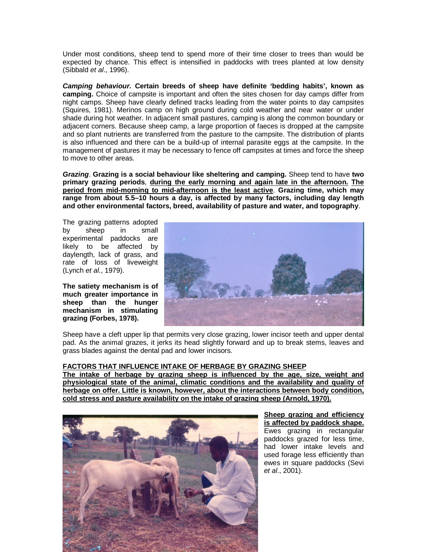Under most conditions, sheep tend to spend more of their time closer to trees than would be expected by chance. This effect is intensified in paddocks with trees planted at low density (Sibbald *et al*., 1996).

*Camping behaviour.* **Certain breeds of sheep have definite 'bedding habits', known as camping.** Choice of campsite is important and often the sites chosen for day camps differ from night camps. Sheep have clearly defined tracks leading from the water points to day campsites (Squires, 1981). Merinos camp on high ground during cold weather and near water or under shade during hot weather. In adjacent small pastures, camping is along the common boundary or adjacent corners. Because sheep camp, a large proportion of faeces is dropped at the campsite and so plant nutrients are transferred from the pasture to the campsite. The distribution of plants is also influenced and there can be a build-up of internal parasite eggs at the campsite. In the management of pastures it may be necessary to fence off campsites at times and force the sheep to move to other areas.

*Grazing*. **Grazing is a social behaviour like sheltering and camping.** Sheep tend to have **two primary grazing periods**, **during the early morning and again late in the afternoon. The period from mid-morning to mid-afternoon is the least active**. **Grazing time, which may range from about 5.5–10 hours a day, is affected by many factors, including day length and other environmental factors, breed, availability of pasture and water, and topography**.

The grazing patterns adopted by sheep in small experimental paddocks are likely to be affected by daylength, lack of grass, and rate of loss of liveweight (Lynch *et al*., 1979).

**The satiety mechanism is of much greater importance in sheep than the hunger mechanism in stimulating grazing (Forbes, 1978).**



Sheep have a cleft upper lip that permits very close grazing, lower incisor teeth and upper dental pad. As the animal grazes, it jerks its head slightly forward and up to break stems, leaves and grass blades against the dental pad and lower incisors.

## **FACTORS THAT INFLUENCE INTAKE OF HERBAGE BY GRAZING SHEEP**

**The intake of herbage by grazing sheep is influenced by the age, size, weight and physiological state of the animal, climatic conditions and the availability and quality of herbage on offer. Little is known, however, about the interactions between body condition, cold stress and pasture availability on the intake of grazing sheep (Arnold, 1970).**



**Sheep grazing and efficiency is affected by paddock shape.** Ewes grazing in rectangular paddocks grazed for less time, had lower intake levels and used forage less efficiently than ewes in square paddocks (Sevi *et al*., 2001).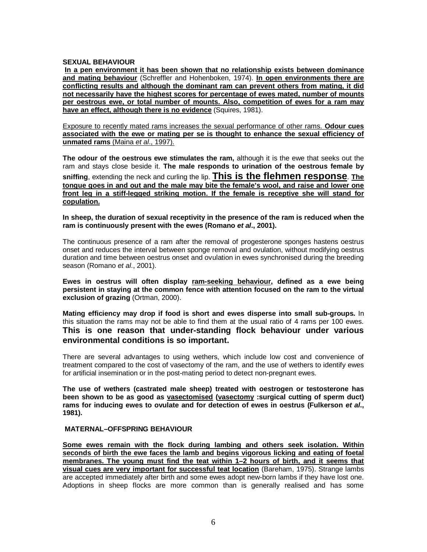## **SEXUAL BEHAVIOUR**

**In a pen environment it has been shown that no relationship exists between dominance and mating behaviour** (Schreffler and Hohenboken, 1974). **In open environments there are conflicting results and although the dominant ram can prevent others from mating, it did not necessarily have the highest scores for percentage of ewes mated, number of mounts per oestrous ewe, or total number of mounts. Also, competition of ewes for a ram may have an effect, although there is no evidence** (Squires, 1981).

Exposure to recently mated rams increases the sexual performance of other rams. **Odour cues associated with the ewe or mating per se is thought to enhance the sexual efficiency of unmated rams** (Maina *et al*., 1997).

**The odour of the oestrous ewe stimulates the ram,** although it is the ewe that seeks out the ram and stays close beside it. **The male responds to urination of the oestrous female by sniffing**, extending the neck and curling the lip. **This is the flehmen response**. **The tongue goes in and out and the male may bite the female's wool, and raise and lower one front leg in a stiff-legged striking motion. If the female is receptive she will stand for copulation.**

**In sheep, the duration of sexual receptivity in the presence of the ram is reduced when the ram is continuously present with the ewes (Romano** *et al***., 2001).**

The continuous presence of a ram after the removal of progesterone sponges hastens oestrus onset and reduces the interval between sponge removal and ovulation, without modifying oestrus duration and time between oestrus onset and ovulation in ewes synchronised during the breeding season (Romano *et al*., 2001).

**Ewes in oestrus will often display ram-seeking behaviour, defined as a ewe being persistent in staying at the common fence with attention focused on the ram to the virtual exclusion of grazing** (Ortman, 2000).

**Mating efficiency may drop if food is short and ewes disperse into small sub-groups.** In this situation the rams may not be able to find them at the usual ratio of 4 rams per 100 ewes. **This is one reason that under-standing flock behaviour under various environmental conditions is so important.**

There are several advantages to using wethers, which include low cost and convenience of treatment compared to the cost of vasectomy of the ram, and the use of wethers to identify ewes for artificial insemination or in the post-mating period to detect non-pregnant ewes.

**The use of wethers (castrated male sheep) treated with oestrogen or testosterone has been shown to be as good as vasectomised (vasectomy :surgical cutting of sperm duct) rams for inducing ewes to ovulate and for detection of ewes in oestrus (Fulkerson** *et al***., 1981).**

## **MATERNAL–OFFSPRING BEHAVIOUR**

**Some ewes remain with the flock during lambing and others seek isolation. Within seconds of birth the ewe faces the lamb and begins vigorous licking and eating of foetal membranes. The young must find the teat within 1–2 hours of birth, and it seems that visual cues are very important for successful teat location** (Bareham, 1975). Strange lambs are accepted immediately after birth and some ewes adopt new-born lambs if they have lost one. Adoptions in sheep flocks are more common than is generally realised and has some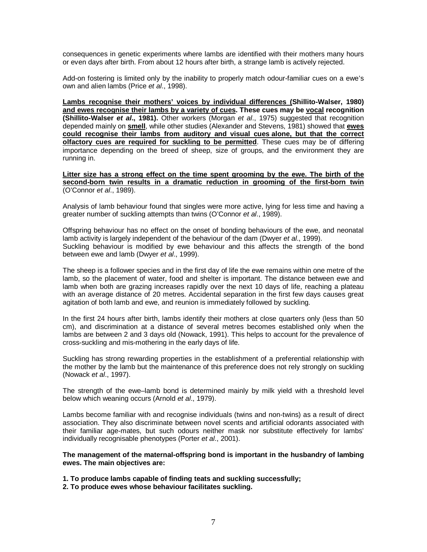consequences in genetic experiments where lambs are identified with their mothers many hours or even days after birth. From about 12 hours after birth, a strange lamb is actively rejected.

Add-on fostering is limited only by the inability to properly match odour-familiar cues on a ewe's own and alien lambs (Price *et al*., 1998).

**Lambs recognise their mothers' voices by individual differences (Shillito-Walser, 1980) and ewes recognise their lambs by a variety of cues. These cues may be vocal recognition (Shillito-Walser** *et al***., 1981).** Other workers (Morgan *et al*., 1975) suggested that recognition depended mainly on **smell**, while other studies (Alexander and Stevens, 1981) showed that **ewes could recognise their lambs from auditory and visual cues alone, but that the correct olfactory cues are required for suckling to be permitted**. These cues may be of differing importance depending on the breed of sheep, size of groups, and the environment they are running in.

**Litter size has a strong effect on the time spent grooming by the ewe. The birth of the second-born twin results in a dramatic reduction in grooming of the first-born twin** (O'Connor *et al*., 1989).

Analysis of lamb behaviour found that singles were more active, lying for less time and having a greater number of suckling attempts than twins (O'Connor *et al*., 1989).

Offspring behaviour has no effect on the onset of bonding behaviours of the ewe, and neonatal lamb activity is largely independent of the behaviour of the dam (Dwyer *et al*., 1999). Suckling behaviour is modified by ewe behaviour and this affects the strength of the bond between ewe and lamb (Dwyer *et al*., 1999).

The sheep is a follower species and in the first day of life the ewe remains within one metre of the lamb, so the placement of water, food and shelter is important. The distance between ewe and lamb when both are grazing increases rapidly over the next 10 days of life, reaching a plateau with an average distance of 20 metres. Accidental separation in the first few days causes great agitation of both lamb and ewe, and reunion is immediately followed by suckling.

In the first 24 hours after birth, lambs identify their mothers at close quarters only (less than 50 cm), and discrimination at a distance of several metres becomes established only when the lambs are between 2 and 3 days old (Nowack, 1991). This helps to account for the prevalence of cross-suckling and mis-mothering in the early days of life.

Suckling has strong rewarding properties in the establishment of a preferential relationship with the mother by the lamb but the maintenance of this preference does not rely strongly on suckling (Nowack *et al*., 1997).

The strength of the ewe–lamb bond is determined mainly by milk yield with a threshold level below which weaning occurs (Arnold *et al*., 1979).

Lambs become familiar with and recognise individuals (twins and non-twins) as a result of direct association. They also discriminate between novel scents and artificial odorants associated with their familiar age-mates, but such odours neither mask nor substitute effectively for lambs' individually recognisable phenotypes (Porter *et al*., 2001).

**The management of the maternal-offspring bond is important in the husbandry of lambing ewes. The main objectives are:**

- **1. To produce lambs capable of finding teats and suckling successfully;**
- **2. To produce ewes whose behaviour facilitates suckling.**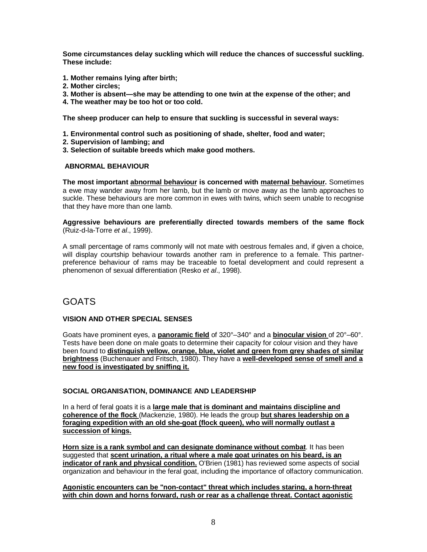**Some circumstances delay suckling which will reduce the chances of successful suckling. These include:**

- **1. Mother remains lying after birth;**
- **2. Mother circles;**
- **3. Mother is absent—she may be attending to one twin at the expense of the other; and**
- **4. The weather may be too hot or too cold.**

**The sheep producer can help to ensure that suckling is successful in several ways:**

- **1. Environmental control such as positioning of shade, shelter, food and water;**
- **2. Supervision of lambing; and**
- **3. Selection of suitable breeds which make good mothers.**

## **ABNORMAL BEHAVIOUR**

**The most important abnormal behaviour is concerned with maternal behaviour.** Sometimes a ewe may wander away from her lamb, but the lamb or move away as the lamb approaches to suckle. These behaviours are more common in ewes with twins, which seem unable to recognise that they have more than one lamb.

**Aggressive behaviours are preferentially directed towards members of the same flock**  (Ruiz-d-la-Torre *et al*., 1999).

A small percentage of rams commonly will not mate with oestrous females and, if given a choice, will display courtship behaviour towards another ram in preference to a female. This partnerpreference behaviour of rams may be traceable to foetal development and could represent a phenomenon of sexual differentiation (Resko *et al*., 1998).

# GOATS

# **VISION AND OTHER SPECIAL SENSES**

Goats have prominent eyes, a **panoramic field** of 320°–340° and a **binocular vision** of 20°–60°. Tests have been done on male goats to determine their capacity for colour vision and they have been found to **distinguish yellow, orange, blue, violet and green from grey shades of similar brightness** (Buchenauer and Fritsch, 1980). They have a **well-developed sense of smell and a new food is investigated by sniffing it.**

# **SOCIAL ORGANISATION, DOMINANCE AND LEADERSHIP**

In a herd of feral goats it is a **large male that is dominant and maintains discipline and coherence of the flock** (Mackenzie, 1980). He leads the group **but shares leadership on a foraging expedition with an old she-goat (flock queen), who will normally outlast a succession of kings.**

**Horn size is a rank symbol and can designate dominance without combat**. It has been suggested that **scent urination, a ritual where a male goat urinates on his beard, is an indicator of rank and physical condition.** O'Brien (1981) has reviewed some aspects of social organization and behaviour in the feral goat, including the importance of olfactory communication.

**Agonistic encounters can be "non-contact" threat which includes staring, a horn-threat with chin down and horns forward, rush or rear as a challenge threat. Contact agonistic**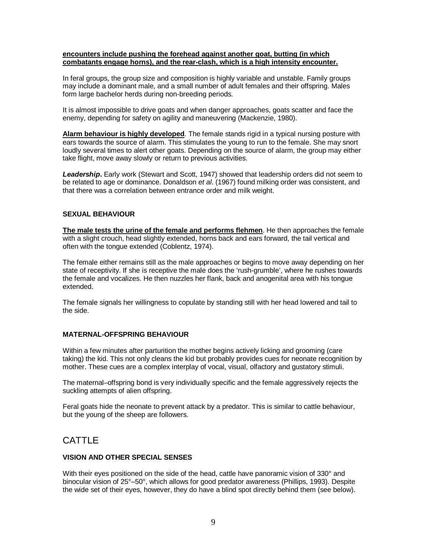#### **encounters include pushing the forehead against another goat, butting (in which combatants engage horns), and the rear-clash, which is a high intensity encounter.**

In feral groups, the group size and composition is highly variable and unstable. Family groups may include a dominant male, and a small number of adult females and their offspring. Males form large bachelor herds during non-breeding periods.

It is almost impossible to drive goats and when danger approaches, goats scatter and face the enemy, depending for safety on agility and maneuvering (Mackenzie, 1980).

**Alarm behaviour is highly developed**. The female stands rigid in a typical nursing posture with ears towards the source of alarm. This stimulates the young to run to the female. She may snort loudly several times to alert other goats. Depending on the source of alarm, the group may either take flight, move away slowly or return to previous activities.

*Leadership***.** Early work (Stewart and Scott, 1947) showed that leadership orders did not seem to be related to age or dominance. Donaldson *et al*. (1967) found milking order was consistent, and that there was a correlation between entrance order and milk weight.

## **SEXUAL BEHAVIOUR**

**The male tests the urine of the female and performs flehmen**. He then approaches the female with a slight crouch, head slightly extended, horns back and ears forward, the tail vertical and often with the tongue extended (Coblentz, 1974).

The female either remains still as the male approaches or begins to move away depending on her state of receptivity. If she is receptive the male does the 'rush-grumble', where he rushes towards the female and vocalizes. He then nuzzles her flank, back and anogenital area with his tongue extended.

The female signals her willingness to copulate by standing still with her head lowered and tail to the side.

# **MATERNAL-OFFSPRING BEHAVIOUR**

Within a few minutes after parturition the mother begins actively licking and grooming (care taking) the kid. This not only cleans the kid but probably provides cues for neonate recognition by mother. These cues are a complex interplay of vocal, visual, olfactory and gustatory stimuli.

The maternal–offspring bond is very individually specific and the female aggressively rejects the suckling attempts of alien offspring.

Feral goats hide the neonate to prevent attack by a predator. This is similar to cattle behaviour, but the young of the sheep are followers.

# CATTLE

# **VISION AND OTHER SPECIAL SENSES**

With their eyes positioned on the side of the head, cattle have panoramic vision of 330° and binocular vision of 25°–50°, which allows for good predator awareness (Phillips, 1993). Despite the wide set of their eyes, however, they do have a blind spot directly behind them (see below).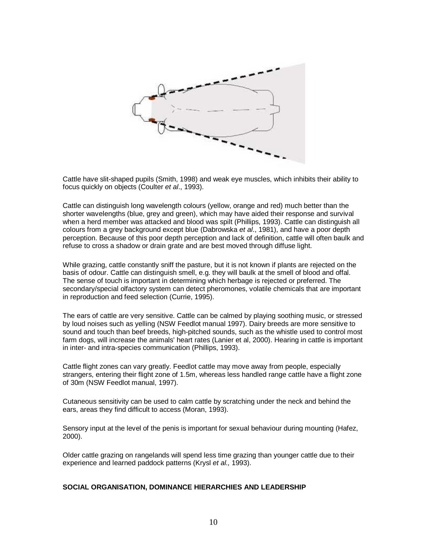

Cattle have slit-shaped pupils (Smith, 1998) and weak eye muscles, which inhibits their ability to focus quickly on objects (Coulter *et al*., 1993).

Cattle can distinguish long wavelength colours (yellow, orange and red) much better than the shorter wavelengths (blue, grey and green), which may have aided their response and survival when a herd member was attacked and blood was spilt (Phillips, 1993). Cattle can distinguish all colours from a grey background except blue (Dabrowska *et al*., 1981), and have a poor depth perception. Because of this poor depth perception and lack of definition, cattle will often baulk and refuse to cross a shadow or drain grate and are best moved through diffuse light.

While grazing, cattle constantly sniff the pasture, but it is not known if plants are rejected on the basis of odour. Cattle can distinguish smell, e.g. they will baulk at the smell of blood and offal. The sense of touch is important in determining which herbage is rejected or preferred. The secondary/special olfactory system can detect pheromones, volatile chemicals that are important in reproduction and feed selection (Currie, 1995).

The ears of cattle are very sensitive. Cattle can be calmed by playing soothing music, or stressed by loud noises such as yelling (NSW Feedlot manual 1997). Dairy breeds are more sensitive to sound and touch than beef breeds, high-pitched sounds, such as the whistle used to control most farm dogs, will increase the animals' heart rates (Lanier et al, 2000). Hearing in cattle is important in inter- and intra-species communication (Phillips, 1993).

Cattle flight zones can vary greatly. Feedlot cattle may move away from people, especially strangers, entering their flight zone of 1.5m, whereas less handled range cattle have a flight zone of 30m (NSW Feedlot manual, 1997).

Cutaneous sensitivity can be used to calm cattle by scratching under the neck and behind the ears, areas they find difficult to access (Moran, 1993).

Sensory input at the level of the penis is important for sexual behaviour during mounting (Hafez, 2000).

Older cattle grazing on rangelands will spend less time grazing than younger cattle due to their experience and learned paddock patterns (Krysl *et al.,* 1993).

## **SOCIAL ORGANISATION, DOMINANCE HIERARCHIES AND LEADERSHIP**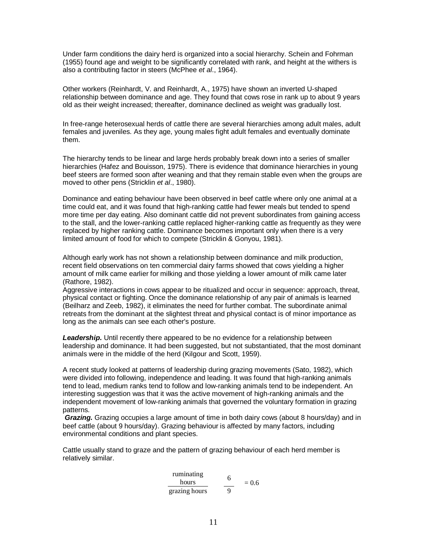Under farm conditions the dairy herd is organized into a social hierarchy. Schein and Fohrman (1955) found age and weight to be significantly correlated with rank, and height at the withers is also a contributing factor in steers (McPhee *et al*., 1964).

Other workers (Reinhardt, V. and Reinhardt, A., 1975) have shown an inverted U-shaped relationship between dominance and age. They found that cows rose in rank up to about 9 years old as their weight increased; thereafter, dominance declined as weight was gradually lost.

In free-range heterosexual herds of cattle there are several hierarchies among adult males, adult females and juveniles. As they age, young males fight adult females and eventually dominate them.

The hierarchy tends to be linear and large herds probably break down into a series of smaller hierarchies (Hafez and Bouisson, 1975). There is evidence that dominance hierarchies in young beef steers are formed soon after weaning and that they remain stable even when the groups are moved to other pens (Stricklin *et al*., 1980).

Dominance and eating behaviour have been observed in beef cattle where only one animal at a time could eat, and it was found that high-ranking cattle had fewer meals but tended to spend more time per day eating. Also dominant cattle did not prevent subordinates from gaining access to the stall, and the lower-ranking cattle replaced higher-ranking cattle as frequently as they were replaced by higher ranking cattle. Dominance becomes important only when there is a very limited amount of food for which to compete (Stricklin & Gonyou, 1981).

Although early work has not shown a relationship between dominance and milk production, recent field observations on ten commercial dairy farms showed that cows yielding a higher amount of milk came earlier for milking and those yielding a lower amount of milk came later (Rathore, 1982).

Aggressive interactions in cows appear to be ritualized and occur in sequence: approach, threat, physical contact or fighting. Once the dominance relationship of any pair of animals is learned (Beilharz and Zeeb, 1982), it eliminates the need for further combat. The subordinate animal retreats from the dominant at the slightest threat and physical contact is of minor importance as long as the animals can see each other's posture.

**Leadership.** Until recently there appeared to be no evidence for a relationship between leadership and dominance. It had been suggested, but not substantiated, that the most dominant animals were in the middle of the herd (Kilgour and Scott, 1959).

A recent study looked at patterns of leadership during grazing movements (Sato, 1982), which were divided into following, independence and leading. It was found that high-ranking animals tend to lead, medium ranks tend to follow and low-ranking animals tend to be independent. An interesting suggestion was that it was the active movement of high-ranking animals and the independent movement of low-ranking animals that governed the voluntary formation in grazing patterns.

*Grazing.* Grazing occupies a large amount of time in both dairy cows (about 8 hours/day) and in beef cattle (about 9 hours/day). Grazing behaviour is affected by many factors, including environmental conditions and plant species.

Cattle usually stand to graze and the pattern of grazing behaviour of each herd member is relatively similar.

$$
\frac{\text{running}}{\text{grazing hours}} \qquad \frac{6}{9} \qquad = 0.6
$$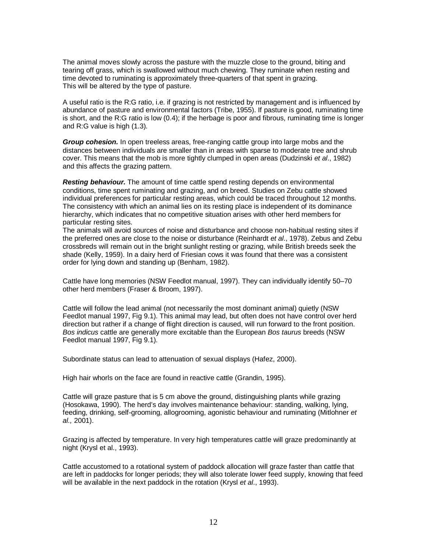The animal moves slowly across the pasture with the muzzle close to the ground, biting and tearing off grass, which is swallowed without much chewing. They ruminate when resting and time devoted to ruminating is approximately three-quarters of that spent in grazing. This will be altered by the type of pasture.

A useful ratio is the R:G ratio, i.e. if grazing is not restricted by management and is influenced by abundance of pasture and environmental factors (Tribe, 1955). If pasture is good, ruminating time is short, and the R:G ratio is low (0.4); if the herbage is poor and fibrous, ruminating time is longer and R:G value is high (1.3).

*Group cohesion.* In open treeless areas, free-ranging cattle group into large mobs and the distances between individuals are smaller than in areas with sparse to moderate tree and shrub cover. This means that the mob is more tightly clumped in open areas (Dudzinski *et al*., 1982) and this affects the grazing pattern.

**Resting behaviour.** The amount of time cattle spend resting depends on environmental conditions, time spent ruminating and grazing, and on breed. Studies on Zebu cattle showed individual preferences for particular resting areas, which could be traced throughout 12 months. The consistency with which an animal lies on its resting place is independent of its dominance hierarchy, which indicates that no competitive situation arises with other herd members for particular resting sites.

The animals will avoid sources of noise and disturbance and choose non-habitual resting sites if the preferred ones are close to the noise or disturbance (Reinhardt *et al*., 1978). Zebus and Zebu crossbreds will remain out in the bright sunlight resting or grazing, while British breeds seek the shade (Kelly, 1959). In a dairy herd of Friesian cows it was found that there was a consistent order for lying down and standing up (Benham, 1982).

Cattle have long memories (NSW Feedlot manual, 1997). They can individually identify 50–70 other herd members (Fraser & Broom, 1997).

Cattle will follow the lead animal (not necessarily the most dominant animal) quietly (NSW Feedlot manual 1997, Fig 9.1). This animal may lead, but often does not have control over herd direction but rather if a change of flight direction is caused, will run forward to the front position. *Bos indicus* cattle are generally more excitable than the European *Bos taurus* breeds (NSW Feedlot manual 1997, Fig 9.1).

Subordinate status can lead to attenuation of sexual displays (Hafez, 2000).

High hair whorls on the face are found in reactive cattle (Grandin, 1995).

Cattle will graze pasture that is 5 cm above the ground, distinguishing plants while grazing (Hosokawa, 1990). The herd's day involves maintenance behaviour: standing, walking, lying, feeding, drinking, self-grooming, allogrooming, agonistic behaviour and ruminating (Mitlohner *et al.,* 2001).

Grazing is affected by temperature. In very high temperatures cattle will graze predominantly at night (Krysl et al., 1993).

Cattle accustomed to a rotational system of paddock allocation will graze faster than cattle that are left in paddocks for longer periods; they will also tolerate lower feed supply, knowing that feed will be available in the next paddock in the rotation (Krysl *et al*., 1993).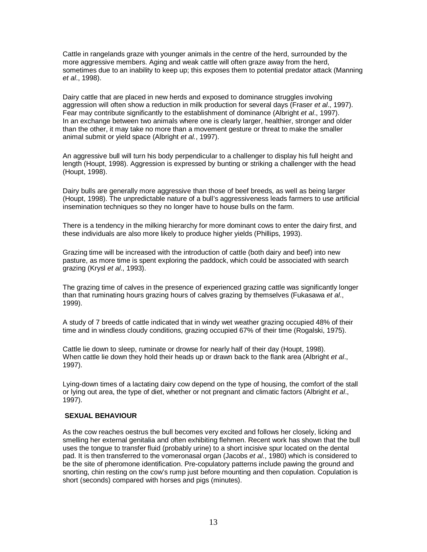Cattle in rangelands graze with younger animals in the centre of the herd, surrounded by the more aggressive members. Aging and weak cattle will often graze away from the herd, sometimes due to an inability to keep up; this exposes them to potential predator attack (Manning *et al*., 1998).

Dairy cattle that are placed in new herds and exposed to dominance struggles involving aggression will often show a reduction in milk production for several days (Fraser *et al*., 1997). Fear may contribute significantly to the establishment of dominance (Albright *et al*., 1997). In an exchange between two animals where one is clearly larger, healthier, stronger and older than the other, it may take no more than a movement gesture or threat to make the smaller animal submit or yield space (Albright *et al.*, 1997).

An aggressive bull will turn his body perpendicular to a challenger to display his full height and length (Houpt, 1998). Aggression is expressed by bunting or striking a challenger with the head (Houpt, 1998).

Dairy bulls are generally more aggressive than those of beef breeds, as well as being larger (Houpt, 1998). The unpredictable nature of a bull's aggressiveness leads farmers to use artificial insemination techniques so they no longer have to house bulls on the farm.

There is a tendency in the milking hierarchy for more dominant cows to enter the dairy first, and these individuals are also more likely to produce higher yields (Phillips, 1993).

Grazing time will be increased with the introduction of cattle (both dairy and beef) into new pasture, as more time is spent exploring the paddock, which could be associated with search grazing (Krysl *et al*., 1993).

The grazing time of calves in the presence of experienced grazing cattle was significantly longer than that ruminating hours grazing hours of calves grazing by themselves (Fukasawa *et al*., 1999).

A study of 7 breeds of cattle indicated that in windy wet weather grazing occupied 48% of their time and in windless cloudy conditions, grazing occupied 67% of their time (Rogalski, 1975).

Cattle lie down to sleep, ruminate or drowse for nearly half of their day (Houpt, 1998). When cattle lie down they hold their heads up or drawn back to the flank area (Albright *et al*., 1997).

Lying-down times of a lactating dairy cow depend on the type of housing, the comfort of the stall or lying out area, the type of diet, whether or not pregnant and climatic factors (Albright *et al*., 1997).

## **SEXUAL BEHAVIOUR**

As the cow reaches oestrus the bull becomes very excited and follows her closely, licking and smelling her external genitalia and often exhibiting flehmen. Recent work has shown that the bull uses the tongue to transfer fluid (probably urine) to a short incisive spur located on the dental pad. It is then transferred to the vomeronasal organ (Jacobs *et al*., 1980) which is considered to be the site of pheromone identification. Pre-copulatory patterns include pawing the ground and snorting, chin resting on the cow's rump just before mounting and then copulation. Copulation is short (seconds) compared with horses and pigs (minutes).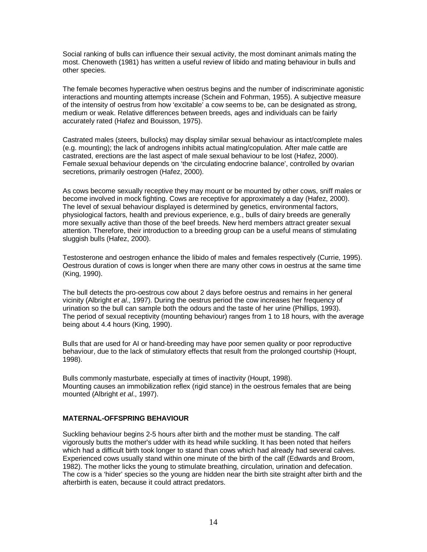Social ranking of bulls can influence their sexual activity, the most dominant animals mating the most. Chenoweth (1981) has written a useful review of libido and mating behaviour in bulls and other species.

The female becomes hyperactive when oestrus begins and the number of indiscriminate agonistic interactions and mounting attempts increase (Schein and Fohrman, 1955). A subjective measure of the intensity of oestrus from how 'excitable' a cow seems to be, can be designated as strong, medium or weak. Relative differences between breeds, ages and individuals can be fairly accurately rated (Hafez and Bouisson, 1975).

Castrated males (steers, bullocks) may display similar sexual behaviour as intact/complete males (e.g. mounting); the lack of androgens inhibits actual mating/copulation. After male cattle are castrated, erections are the last aspect of male sexual behaviour to be lost (Hafez, 2000). Female sexual behaviour depends on 'the circulating endocrine balance', controlled by ovarian secretions, primarily oestrogen (Hafez, 2000).

As cows become sexually receptive they may mount or be mounted by other cows, sniff males or become involved in mock fighting. Cows are receptive for approximately a day (Hafez, 2000). The level of sexual behaviour displayed is determined by genetics, environmental factors, physiological factors, health and previous experience, e.g., bulls of dairy breeds are generally more sexually active than those of the beef breeds. New herd members attract greater sexual attention. Therefore, their introduction to a breeding group can be a useful means of stimulating sluggish bulls (Hafez, 2000).

Testosterone and oestrogen enhance the libido of males and females respectively (Currie, 1995). Oestrous duration of cows is longer when there are many other cows in oestrus at the same time (King, 1990).

The bull detects the pro-oestrous cow about 2 days before oestrus and remains in her general vicinity (Albright *et al*., 1997). During the oestrus period the cow increases her frequency of urination so the bull can sample both the odours and the taste of her urine (Phillips, 1993). The period of sexual receptivity (mounting behaviour) ranges from 1 to 18 hours, with the average being about 4.4 hours (King, 1990).

Bulls that are used for AI or hand-breeding may have poor semen quality or poor reproductive behaviour, due to the lack of stimulatory effects that result from the prolonged courtship (Houpt, 1998).

Bulls commonly masturbate, especially at times of inactivity (Houpt, 1998). Mounting causes an immobilization reflex (rigid stance) in the oestrous females that are being mounted (Albright *et al*., 1997).

## **MATERNAL-OFFSPRING BEHAVIOUR**

Suckling behaviour begins 2-5 hours after birth and the mother must be standing. The calf vigorously butts the mother's udder with its head while suckling. It has been noted that heifers which had a difficult birth took longer to stand than cows which had already had several calves. Experienced cows usually stand within one minute of the birth of the calf (Edwards and Broom, 1982). The mother licks the young to stimulate breathing, circulation, urination and defecation. The cow is a 'hider' species so the young are hidden near the birth site straight after birth and the afterbirth is eaten, because it could attract predators.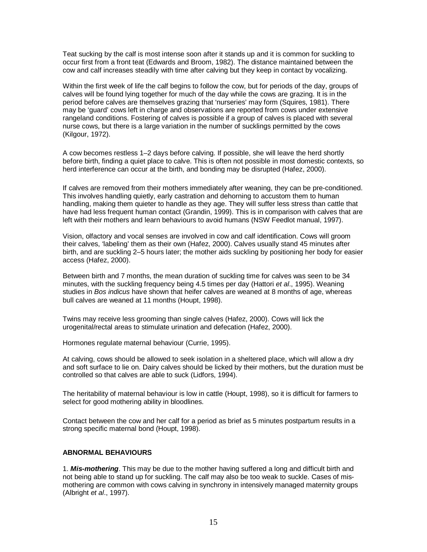Teat sucking by the calf is most intense soon after it stands up and it is common for suckling to occur first from a front teat (Edwards and Broom, 1982). The distance maintained between the cow and calf increases steadily with time after calving but they keep in contact by vocalizing.

Within the first week of life the calf begins to follow the cow, but for periods of the day, groups of calves will be found lying together for much of the day while the cows are grazing. It is in the period before calves are themselves grazing that 'nurseries' may form (Squires, 1981). There may be 'guard' cows left in charge and observations are reported from cows under extensive rangeland conditions. Fostering of calves is possible if a group of calves is placed with several nurse cows, but there is a large variation in the number of sucklings permitted by the cows (Kilgour, 1972).

A cow becomes restless 1–2 days before calving. If possible, she will leave the herd shortly before birth, finding a quiet place to calve. This is often not possible in most domestic contexts, so herd interference can occur at the birth, and bonding may be disrupted (Hafez, 2000).

If calves are removed from their mothers immediately after weaning, they can be pre-conditioned. This involves handling quietly, early castration and dehorning to accustom them to human handling, making them quieter to handle as they age. They will suffer less stress than cattle that have had less frequent human contact (Grandin, 1999). This is in comparison with calves that are left with their mothers and learn behaviours to avoid humans (NSW Feedlot manual, 1997).

Vision, olfactory and vocal senses are involved in cow and calf identification. Cows will groom their calves, 'labeling' them as their own (Hafez, 2000). Calves usually stand 45 minutes after birth, and are suckling 2–5 hours later; the mother aids suckling by positioning her body for easier access (Hafez, 2000).

Between birth and 7 months, the mean duration of suckling time for calves was seen to be 34 minutes, with the suckling frequency being 4.5 times per day (Hattori *et al*., 1995). Weaning studies in *Bos indicus* have shown that heifer calves are weaned at 8 months of age, whereas bull calves are weaned at 11 months (Houpt, 1998).

Twins may receive less grooming than single calves (Hafez, 2000). Cows will lick the urogenital/rectal areas to stimulate urination and defecation (Hafez, 2000).

Hormones regulate maternal behaviour (Currie, 1995).

At calving, cows should be allowed to seek isolation in a sheltered place, which will allow a dry and soft surface to lie on. Dairy calves should be licked by their mothers, but the duration must be controlled so that calves are able to suck (Lidfors, 1994).

The heritability of maternal behaviour is low in cattle (Houpt, 1998), so it is difficult for farmers to select for good mothering ability in bloodlines.

Contact between the cow and her calf for a period as brief as 5 minutes postpartum results in a strong specific maternal bond (Houpt, 1998).

## **ABNORMAL BEHAVIOURS**

1. *Mis-mothering*. This may be due to the mother having suffered a long and difficult birth and not being able to stand up for suckling. The calf may also be too weak to suckle. Cases of mismothering are common with cows calving in synchrony in intensively managed maternity groups (Albright *et al*., 1997).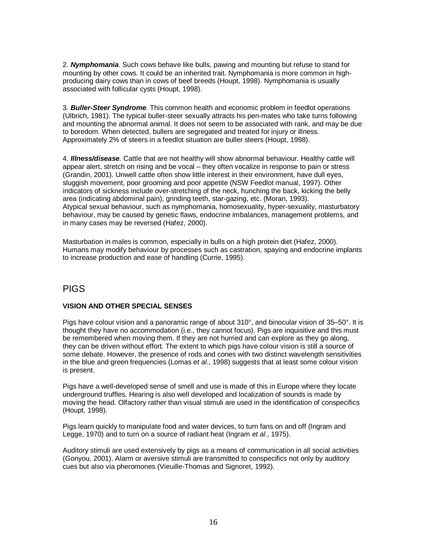2. *Nymphomania*. Such cows behave like bulls, pawing and mounting but refuse to stand for mounting by other cows. It could be an inherited trait. Nymphomania is more common in highproducing dairy cows than in cows of beef breeds (Houpt, 1998). Nymphomania is usually associated with follicular cysts (Houpt, 1998).

3. *Buller-Steer Syndrome.* This common health and economic problem in feedlot operations (Ulbrich, 1981). The typical buller-steer sexually attracts his pen-mates who take turns following and mounting the abnormal animal. It does not seem to be associated with rank, and may be due to boredom. When detected, bullers are segregated and treated for injury or illness. Approximately 2% of steers in a feedlot situation are buller steers (Houpt, 1998).

4. *Illness/disease.* Cattle that are not healthy will show abnormal behaviour. Healthy cattle will appear alert, stretch on rising and be vocal – they often vocalize in response to pain or stress (Grandin, 2001). Unwell cattle often show little interest in their environment, have dull eyes, sluggish movement, poor grooming and poor appetite (NSW Feedlot manual, 1997). Other indicators of sickness include over-stretching of the neck, hunching the back, kicking the belly area (indicating abdominal pain), grinding teeth, star-gazing, etc. (Moran, 1993). Atypical sexual behaviour, such as nymphomania, homosexuality, hyper-sexuality, masturbatory behaviour, may be caused by genetic flaws, endocrine imbalances, management problems, and in many cases may be reversed (Hafez, 2000).

Masturbation in males is common, especially in bulls on a high protein diet (Hafez, 2000). Humans may modify behaviour by processes such as castration, spaying and endocrine implants to increase production and ease of handling (Currie, 1995).

# PIGS

# **VISION AND OTHER SPECIAL SENSES**

Pigs have colour vision and a panoramic range of about 310°, and binocular vision of 35–50°. It is thought they have no accommodation (i.e., they cannot focus). Pigs are inquisitive and this must be remembered when moving them. If they are not hurried and can explore as they go along, they can be driven without effort. The extent to which pigs have colour vision is still a source of some debate. However, the presence of rods and cones with two distinct wavelength sensitivities in the blue and green frequencies (Lomas *et al*., 1998) suggests that at least some colour vision is present.

Pigs have a well-developed sense of smell and use is made of this in Europe where they locate underground truffles. Hearing is also well developed and localization of sounds is made by moving the head. Olfactory rather than visual stimuli are used in the identification of conspecifics (Houpt, 1998).

Pigs learn quickly to manipulate food and water devices, to turn fans on and off (Ingram and Legge, 1970) and to turn on a source of radiant heat (Ingram *et al*., 1975).

Auditory stimuli are used extensively by pigs as a means of communication in all social activities (Gonyou, 2001). Alarm or aversive stimuli are transmitted to conspecifics not only by auditory cues but also via pheromones (Vieuille-Thomas and Signoret, 1992).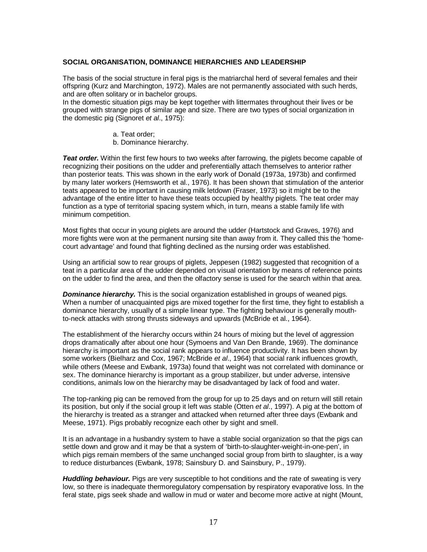## **SOCIAL ORGANISATION, DOMINANCE HIERARCHIES AND LEADERSHIP**

The basis of the social structure in feral pigs is the matriarchal herd of several females and their offspring (Kurz and Marchington, 1972). Males are not permanently associated with such herds, and are often solitary or in bachelor groups.

In the domestic situation pigs may be kept together with littermates throughout their lives or be grouped with strange pigs of similar age and size. There are two types of social organization in the domestic pig (Signoret *et al*., 1975):

> a. Teat order; b. Dominance hierarchy.

**Teat order.** Within the first few hours to two weeks after farrowing, the piglets become capable of recognizing their positions on the udder and preferentially attach themselves to anterior rather than posterior teats. This was shown in the early work of Donald (1973a, 1973b) and confirmed by many later workers (Hemsworth et al., 1976). It has been shown that stimulation of the anterior teats appeared to be important in causing milk letdown (Fraser, 1973) so it might be to the advantage of the entire litter to have these teats occupied by healthy piglets. The teat order may function as a type of territorial spacing system which, in turn, means a stable family life with minimum competition.

Most fights that occur in young piglets are around the udder (Hartstock and Graves, 1976) and more fights were won at the permanent nursing site than away from it. They called this the 'homecourt advantage' and found that fighting declined as the nursing order was established.

Using an artificial sow to rear groups of piglets, Jeppesen (1982) suggested that recognition of a teat in a particular area of the udder depended on visual orientation by means of reference points on the udder to find the area, and then the olfactory sense is used for the search within that area.

*Dominance hierarchy.* This is the social organization established in groups of weaned pigs. When a number of unacquainted pigs are mixed together for the first time, they fight to establish a dominance hierarchy, usually of a simple linear type. The fighting behaviour is generally mouthto-neck attacks with strong thrusts sideways and upwards (McBride et al., 1964).

The establishment of the hierarchy occurs within 24 hours of mixing but the level of aggression drops dramatically after about one hour (Symoens and Van Den Brande, 1969). The dominance hierarchy is important as the social rank appears to influence productivity. It has been shown by some workers (Bielharz and Cox, 1967; McBride *et al*., 1964) that social rank influences growth, while others (Meese and Ewbank, 1973a) found that weight was not correlated with dominance or sex. The dominance hierarchy is important as a group stabilizer, but under adverse, intensive conditions, animals low on the hierarchy may be disadvantaged by lack of food and water.

The top-ranking pig can be removed from the group for up to 25 days and on return will still retain its position, but only if the social group it left was stable (Otten *et al*., 1997). A pig at the bottom of the hierarchy is treated as a stranger and attacked when returned after three days (Ewbank and Meese, 1971). Pigs probably recognize each other by sight and smell.

It is an advantage in a husbandry system to have a stable social organization so that the pigs can settle down and grow and it may be that a system of 'birth-to-slaughter-weight-in-one-pen', in which pigs remain members of the same unchanged social group from birth to slaughter, is a way to reduce disturbances (Ewbank, 1978; Sainsbury D. and Sainsbury, P., 1979).

*Huddling behaviour.* Pigs are very susceptible to hot conditions and the rate of sweating is very low, so there is inadequate thermoregulatory compensation by respiratory evaporative loss. In the feral state, pigs seek shade and wallow in mud or water and become more active at night (Mount,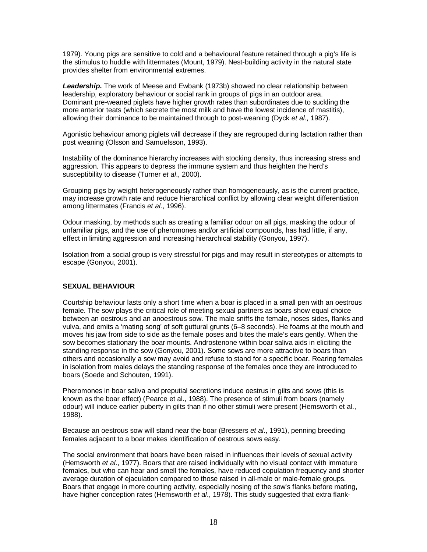1979). Young pigs are sensitive to cold and a behavioural feature retained through a pig's life is the stimulus to huddle with littermates (Mount, 1979). Nest-building activity in the natural state provides shelter from environmental extremes.

*Leadership.* The work of Meese and Ewbank (1973b) showed no clear relationship between leadership, exploratory behaviour or social rank in groups of pigs in an outdoor area. Dominant pre-weaned piglets have higher growth rates than subordinates due to suckling the more anterior teats (which secrete the most milk and have the lowest incidence of mastitis), allowing their dominance to be maintained through to post-weaning (Dyck *et al*., 1987).

Agonistic behaviour among piglets will decrease if they are regrouped during lactation rather than post weaning (Olsson and Samuelsson, 1993).

Instability of the dominance hierarchy increases with stocking density, thus increasing stress and aggression. This appears to depress the immune system and thus heighten the herd's susceptibility to disease (Turner *et al*., 2000).

Grouping pigs by weight heterogeneously rather than homogeneously, as is the current practice, may increase growth rate and reduce hierarchical conflict by allowing clear weight differentiation among littermates (Francis *et al*., 1996).

Odour masking, by methods such as creating a familiar odour on all pigs, masking the odour of unfamiliar pigs, and the use of pheromones and/or artificial compounds, has had little, if any, effect in limiting aggression and increasing hierarchical stability (Gonyou, 1997).

Isolation from a social group is very stressful for pigs and may result in stereotypes or attempts to escape (Gonyou, 2001).

# **SEXUAL BEHAVIOUR**

Courtship behaviour lasts only a short time when a boar is placed in a small pen with an oestrous female. The sow plays the critical role of meeting sexual partners as boars show equal choice between an oestrous and an anoestrous sow. The male sniffs the female, noses sides, flanks and vulva, and emits a 'mating song' of soft guttural grunts (6–8 seconds). He foams at the mouth and moves his jaw from side to side as the female poses and bites the male's ears gently. When the sow becomes stationary the boar mounts. Androstenone within boar saliva aids in eliciting the standing response in the sow (Gonyou, 2001). Some sows are more attractive to boars than others and occasionally a sow may avoid and refuse to stand for a specific boar. Rearing females in isolation from males delays the standing response of the females once they are introduced to boars (Soede and Schouten, 1991).

Pheromones in boar saliva and preputial secretions induce oestrus in gilts and sows (this is known as the boar effect) (Pearce et al., 1988). The presence of stimuli from boars (namely odour) will induce earlier puberty in gilts than if no other stimuli were present (Hemsworth et al., 1988).

Because an oestrous sow will stand near the boar (Bressers *et al*., 1991), penning breeding females adjacent to a boar makes identification of oestrous sows easy.

The social environment that boars have been raised in influences their levels of sexual activity (Hemsworth *et al*., 1977). Boars that are raised individually with no visual contact with immature females, but who can hear and smell the females, have reduced copulation frequency and shorter average duration of ejaculation compared to those raised in all-male or male-female groups. Boars that engage in more courting activity, especially nosing of the sow's flanks before mating, have higher conception rates (Hemsworth *et al*., 1978). This study suggested that extra flank-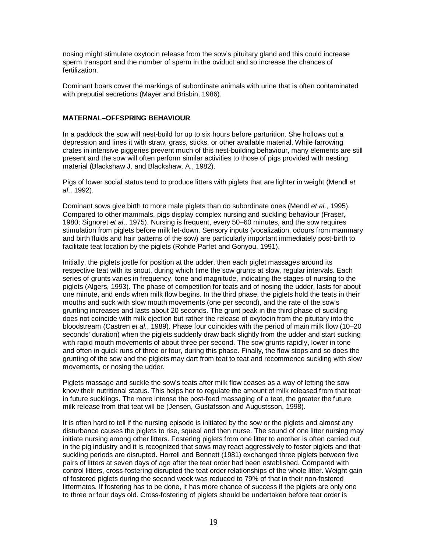nosing might stimulate oxytocin release from the sow's pituitary gland and this could increase sperm transport and the number of sperm in the oviduct and so increase the chances of fertilization.

Dominant boars cover the markings of subordinate animals with urine that is often contaminated with preputial secretions (Mayer and Brisbin, 1986).

## **MATERNAL–OFFSPRING BEHAVIOUR**

In a paddock the sow will nest-build for up to six hours before parturition. She hollows out a depression and lines it with straw, grass, sticks, or other available material. While farrowing crates in intensive piggeries prevent much of this nest-building behaviour, many elements are still present and the sow will often perform similar activities to those of pigs provided with nesting material (Blackshaw J. and Blackshaw, A., 1982).

Pigs of lower social status tend to produce litters with piglets that are lighter in weight (Mendl *et al*., 1992).

Dominant sows give birth to more male piglets than do subordinate ones (Mendl *et al*., 1995). Compared to other mammals, pigs display complex nursing and suckling behaviour (Fraser, 1980; Signoret *et al*., 1975). Nursing is frequent, every 50–60 minutes, and the sow requires stimulation from piglets before milk let-down. Sensory inputs (vocalization, odours from mammary and birth fluids and hair patterns of the sow) are particularly important immediately post-birth to facilitate teat location by the piglets (Rohde Parfet and Gonyou, 1991).

Initially, the piglets jostle for position at the udder, then each piglet massages around its respective teat with its snout, during which time the sow grunts at slow, regular intervals. Each series of grunts varies in frequency, tone and magnitude, indicating the stages of nursing to the piglets (Algers, 1993). The phase of competition for teats and of nosing the udder, lasts for about one minute, and ends when milk flow begins. In the third phase, the piglets hold the teats in their mouths and suck with slow mouth movements (one per second), and the rate of the sow's grunting increases and lasts about 20 seconds. The grunt peak in the third phase of suckling does not coincide with milk ejection but rather the release of oxytocin from the pituitary into the bloodstream (Castren *et al*., 1989). Phase four coincides with the period of main milk flow (10–20 seconds' duration) when the piglets suddenly draw back slightly from the udder and start sucking with rapid mouth movements of about three per second. The sow grunts rapidly, lower in tone and often in quick runs of three or four, during this phase. Finally, the flow stops and so does the grunting of the sow and the piglets may dart from teat to teat and recommence suckling with slow movements, or nosing the udder.

Piglets massage and suckle the sow's teats after milk flow ceases as a way of letting the sow know their nutritional status. This helps her to regulate the amount of milk released from that teat in future sucklings. The more intense the post-feed massaging of a teat, the greater the future milk release from that teat will be (Jensen, Gustafsson and Augustsson, 1998).

It is often hard to tell if the nursing episode is initiated by the sow or the piglets and almost any disturbance causes the piglets to rise, squeal and then nurse. The sound of one litter nursing may initiate nursing among other litters. Fostering piglets from one litter to another is often carried out in the pig industry and it is recognized that sows may react aggressively to foster piglets and that suckling periods are disrupted. Horrell and Bennett (1981) exchanged three piglets between five pairs of litters at seven days of age after the teat order had been established. Compared with control litters, cross-fostering disrupted the teat order relationships of the whole litter. Weight gain of fostered piglets during the second week was reduced to 79% of that in their non-fostered littermates. If fostering has to be done, it has more chance of success if the piglets are only one to three or four days old. Cross-fostering of piglets should be undertaken before teat order is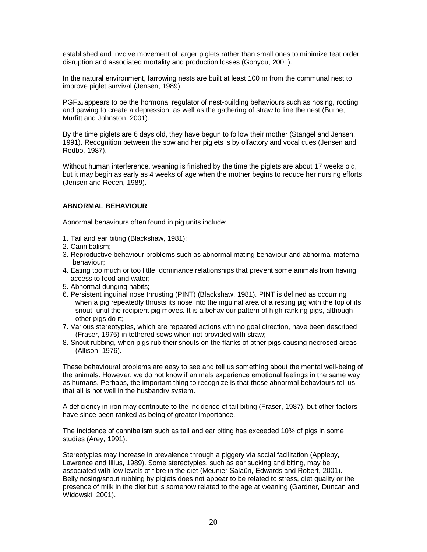established and involve movement of larger piglets rather than small ones to minimize teat order disruption and associated mortality and production losses (Gonyou, 2001).

In the natural environment, farrowing nests are built at least 100 m from the communal nest to improve piglet survival (Jensen, 1989).

PGF2a appears to be the hormonal regulator of nest-building behaviours such as nosing, rooting and pawing to create a depression, as well as the gathering of straw to line the nest (Burne, Murfitt and Johnston, 2001).

By the time piglets are 6 days old, they have begun to follow their mother (Stangel and Jensen, 1991). Recognition between the sow and her piglets is by olfactory and vocal cues (Jensen and Redbo, 1987).

Without human interference, weaning is finished by the time the piglets are about 17 weeks old, but it may begin as early as 4 weeks of age when the mother begins to reduce her nursing efforts (Jensen and Recen, 1989).

## **ABNORMAL BEHAVIOUR**

Abnormal behaviours often found in pig units include:

- 1. Tail and ear biting (Blackshaw, 1981);
- 2. Cannibalism;
- 3. Reproductive behaviour problems such as abnormal mating behaviour and abnormal maternal behaviour;
- 4. Eating too much or too little; dominance relationships that prevent some animals from having access to food and water;
- 5. Abnormal dunging habits;
- 6. Persistent inguinal nose thrusting (PINT) (Blackshaw, 1981). PINT is defined as occurring when a pig repeatedly thrusts its nose into the inguinal area of a resting pig with the top of its snout, until the recipient pig moves. It is a behaviour pattern of high-ranking pigs, although other pigs do it;
- 7. Various stereotypies, which are repeated actions with no goal direction, have been described (Fraser, 1975) in tethered sows when not provided with straw;
- 8. Snout rubbing, when pigs rub their snouts on the flanks of other pigs causing necrosed areas (Allison, 1976).

These behavioural problems are easy to see and tell us something about the mental well-being of the animals. However, we do not know if animals experience emotional feelings in the same way as humans. Perhaps, the important thing to recognize is that these abnormal behaviours tell us that all is not well in the husbandry system.

A deficiency in iron may contribute to the incidence of tail biting (Fraser, 1987), but other factors have since been ranked as being of greater importance.

The incidence of cannibalism such as tail and ear biting has exceeded 10% of pigs in some studies (Arey, 1991).

Stereotypies may increase in prevalence through a piggery via social facilitation (Appleby, Lawrence and Illius, 1989). Some stereotypies, such as ear sucking and biting, may be associated with low levels of fibre in the diet (Meunier-Salaün, Edwards and Robert, 2001). Belly nosing/snout rubbing by piglets does not appear to be related to stress, diet quality or the presence of milk in the diet but is somehow related to the age at weaning (Gardner, Duncan and Widowski, 2001).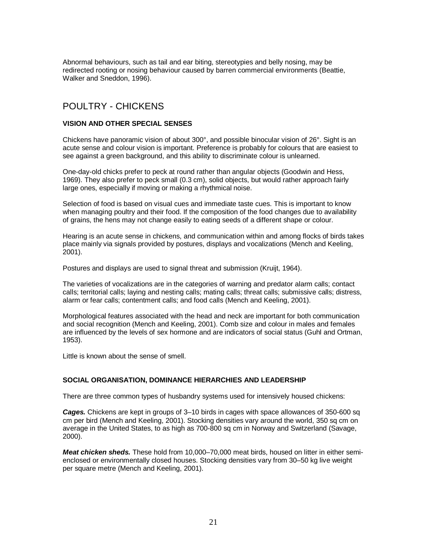Abnormal behaviours, such as tail and ear biting, stereotypies and belly nosing, may be redirected rooting or nosing behaviour caused by barren commercial environments (Beattie, Walker and Sneddon, 1996).

# POULTRY - CHICKENS

# **VISION AND OTHER SPECIAL SENSES**

Chickens have panoramic vision of about 300°, and possible binocular vision of 26°. Sight is an acute sense and colour vision is important. Preference is probably for colours that are easiest to see against a green background, and this ability to discriminate colour is unlearned.

One-day-old chicks prefer to peck at round rather than angular objects (Goodwin and Hess, 1969). They also prefer to peck small (0.3 cm), solid objects, but would rather approach fairly large ones, especially if moving or making a rhythmical noise.

Selection of food is based on visual cues and immediate taste cues. This is important to know when managing poultry and their food. If the composition of the food changes due to availability of grains, the hens may not change easily to eating seeds of a different shape or colour.

Hearing is an acute sense in chickens, and communication within and among flocks of birds takes place mainly via signals provided by postures, displays and vocalizations (Mench and Keeling, 2001).

Postures and displays are used to signal threat and submission (Kruijt, 1964).

The varieties of vocalizations are in the categories of warning and predator alarm calls; contact calls; territorial calls; laying and nesting calls; mating calls; threat calls; submissive calls; distress, alarm or fear calls; contentment calls; and food calls (Mench and Keeling, 2001).

Morphological features associated with the head and neck are important for both communication and social recognition (Mench and Keeling, 2001). Comb size and colour in males and females are influenced by the levels of sex hormone and are indicators of social status (Guhl and Ortman, 1953).

Little is known about the sense of smell.

# **SOCIAL ORGANISATION, DOMINANCE HIERARCHIES AND LEADERSHIP**

There are three common types of husbandry systems used for intensively housed chickens:

*Cages.* Chickens are kept in groups of 3–10 birds in cages with space allowances of 350-600 sq cm per bird (Mench and Keeling, 2001). Stocking densities vary around the world, 350 sq cm on average in the United States, to as high as 700-800 sq cm in Norway and Switzerland (Savage, 2000).

*Meat chicken sheds.* These hold from 10,000–70,000 meat birds, housed on litter in either semienclosed or environmentally closed houses. Stocking densities vary from 30–50 kg live weight per square metre (Mench and Keeling, 2001).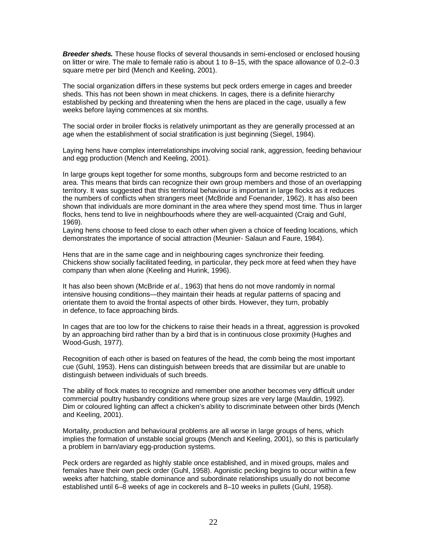**Breeder sheds.** These house flocks of several thousands in semi-enclosed or enclosed housing on litter or wire. The male to female ratio is about 1 to 8–15, with the space allowance of 0.2–0.3 square metre per bird (Mench and Keeling, 2001).

The social organization differs in these systems but peck orders emerge in cages and breeder sheds. This has not been shown in meat chickens. In cages, there is a definite hierarchy established by pecking and threatening when the hens are placed in the cage, usually a few weeks before laying commences at six months.

The social order in broiler flocks is relatively unimportant as they are generally processed at an age when the establishment of social stratification is just beginning (Siegel, 1984).

Laying hens have complex interrelationships involving social rank, aggression, feeding behaviour and egg production (Mench and Keeling, 2001).

In large groups kept together for some months, subgroups form and become restricted to an area. This means that birds can recognize their own group members and those of an overlapping territory. It was suggested that this territorial behaviour is important in large flocks as it reduces the numbers of conflicts when strangers meet (McBride and Foenander, 1962). It has also been shown that individuals are more dominant in the area where they spend most time. Thus in larger flocks, hens tend to live in neighbourhoods where they are well-acquainted (Craig and Guhl, 1969).

Laying hens choose to feed close to each other when given a choice of feeding locations, which demonstrates the importance of social attraction (Meunier- Salaun and Faure, 1984).

Hens that are in the same cage and in neighbouring cages synchronize their feeding. Chickens show socially facilitated feeding, in particular, they peck more at feed when they have company than when alone (Keeling and Hurink, 1996).

It has also been shown (McBride *et al*., 1963) that hens do not move randomly in normal intensive housing conditions—they maintain their heads at regular patterns of spacing and orientate them to avoid the frontal aspects of other birds. However, they turn, probably in defence, to face approaching birds.

In cages that are too low for the chickens to raise their heads in a threat, aggression is provoked by an approaching bird rather than by a bird that is in continuous close proximity (Hughes and Wood-Gush, 1977).

Recognition of each other is based on features of the head, the comb being the most important cue (Guhl, 1953). Hens can distinguish between breeds that are dissimilar but are unable to distinguish between individuals of such breeds.

The ability of flock mates to recognize and remember one another becomes very difficult under commercial poultry husbandry conditions where group sizes are very large (Mauldin, 1992). Dim or coloured lighting can affect a chicken's ability to discriminate between other birds (Mench and Keeling, 2001).

Mortality, production and behavioural problems are all worse in large groups of hens, which implies the formation of unstable social groups (Mench and Keeling, 2001), so this is particularly a problem in barn/aviary egg-production systems.

Peck orders are regarded as highly stable once established, and in mixed groups, males and females have their own peck order (Guhl, 1958). Agonistic pecking begins to occur within a few weeks after hatching, stable dominance and subordinate relationships usually do not become established until 6–8 weeks of age in cockerels and 8–10 weeks in pullets (Guhl, 1958).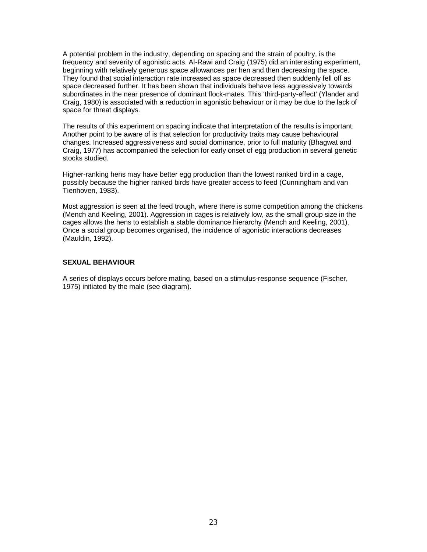A potential problem in the industry, depending on spacing and the strain of poultry, is the frequency and severity of agonistic acts. Al-Rawi and Craig (1975) did an interesting experiment, beginning with relatively generous space allowances per hen and then decreasing the space. They found that social interaction rate increased as space decreased then suddenly fell off as space decreased further. It has been shown that individuals behave less aggressively towards subordinates in the near presence of dominant flock-mates. This 'third-party-effect' (Ylander and Craig, 1980) is associated with a reduction in agonistic behaviour or it may be due to the lack of space for threat displays.

The results of this experiment on spacing indicate that interpretation of the results is important. Another point to be aware of is that selection for productivity traits may cause behavioural changes. Increased aggressiveness and social dominance, prior to full maturity (Bhagwat and Craig, 1977) has accompanied the selection for early onset of egg production in several genetic stocks studied.

Higher-ranking hens may have better egg production than the lowest ranked bird in a cage, possibly because the higher ranked birds have greater access to feed (Cunningham and van Tienhoven, 1983).

Most aggression is seen at the feed trough, where there is some competition among the chickens (Mench and Keeling, 2001). Aggression in cages is relatively low, as the small group size in the cages allows the hens to establish a stable dominance hierarchy (Mench and Keeling, 2001). Once a social group becomes organised, the incidence of agonistic interactions decreases (Mauldin, 1992).

# **SEXUAL BEHAVIOUR**

A series of displays occurs before mating, based on a stimulus-response sequence (Fischer, 1975) initiated by the male (see diagram).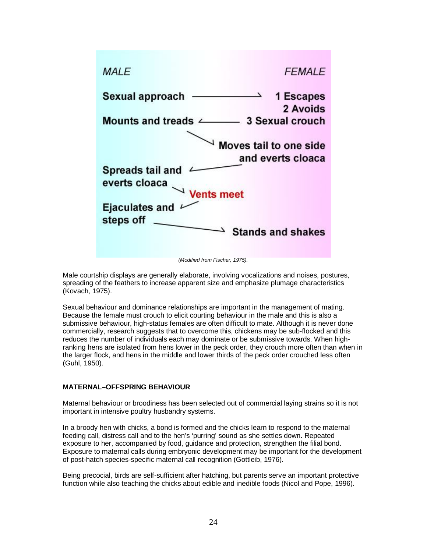

*(Modified from Fischer, 1975).*

Male courtship displays are generally elaborate, involving vocalizations and noises, postures, spreading of the feathers to increase apparent size and emphasize plumage characteristics (Kovach, 1975).

Sexual behaviour and dominance relationships are important in the management of mating. Because the female must crouch to elicit courting behaviour in the male and this is also a submissive behaviour, high-status females are often difficult to mate. Although it is never done commercially, research suggests that to overcome this, chickens may be sub-flocked and this reduces the number of individuals each may dominate or be submissive towards. When highranking hens are isolated from hens lower in the peck order, they crouch more often than when in the larger flock, and hens in the middle and lower thirds of the peck order crouched less often (Guhl, 1950).

# **MATERNAL–OFFSPRING BEHAVIOUR**

Maternal behaviour or broodiness has been selected out of commercial laying strains so it is not important in intensive poultry husbandry systems.

In a broody hen with chicks, a bond is formed and the chicks learn to respond to the maternal feeding call, distress call and to the hen's 'purring' sound as she settles down. Repeated exposure to her, accompanied by food, guidance and protection, strengthen the filial bond. Exposure to maternal calls during embryonic development may be important for the development of post-hatch species-specific maternal call recognition (Gottleib, 1976).

Being precocial, birds are self-sufficient after hatching, but parents serve an important protective function while also teaching the chicks about edible and inedible foods (Nicol and Pope, 1996).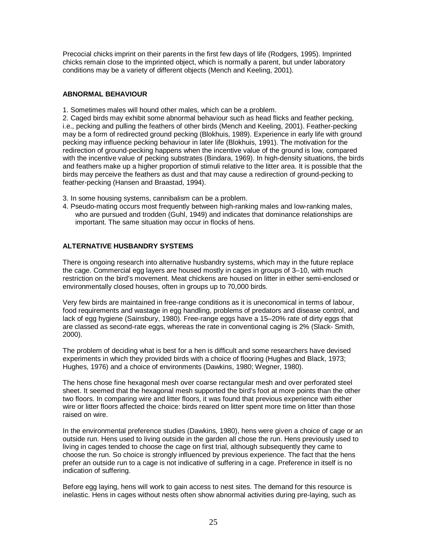Precocial chicks imprint on their parents in the first few days of life (Rodgers, 1995). Imprinted chicks remain close to the imprinted object, which is normally a parent, but under laboratory conditions may be a variety of different objects (Mench and Keeling, 2001).

## **ABNORMAL BEHAVIOUR**

1. Sometimes males will hound other males, which can be a problem.

2. Caged birds may exhibit some abnormal behaviour such as head flicks and feather pecking, i.e., pecking and pulling the feathers of other birds (Mench and Keeling, 2001). Feather-pecking may be a form of redirected ground pecking (Blokhuis, 1989). Experience in early life with ground pecking may influence pecking behaviour in later life (Blokhuis, 1991). The motivation for the redirection of ground-pecking happens when the incentive value of the ground is low, compared with the incentive value of pecking substrates (Bindara, 1969). In high-density situations, the birds and feathers make up a higher proportion of stimuli relative to the litter area. It is possible that the birds may perceive the feathers as dust and that may cause a redirection of ground-pecking to feather-pecking (Hansen and Braastad, 1994).

- 3. In some housing systems, cannibalism can be a problem.
- 4. Pseudo-mating occurs most frequently between high-ranking males and low-ranking males, who are pursued and trodden (Guhl, 1949) and indicates that dominance relationships are important. The same situation may occur in flocks of hens.

# **ALTERNATIVE HUSBANDRY SYSTEMS**

There is ongoing research into alternative husbandry systems, which may in the future replace the cage. Commercial egg layers are housed mostly in cages in groups of 3–10, with much restriction on the bird's movement. Meat chickens are housed on litter in either semi-enclosed or environmentally closed houses, often in groups up to 70,000 birds.

Very few birds are maintained in free-range conditions as it is uneconomical in terms of labour, food requirements and wastage in egg handling, problems of predators and disease control, and lack of egg hygiene (Sainsbury, 1980). Free-range eggs have a 15–20% rate of dirty eggs that are classed as second-rate eggs, whereas the rate in conventional caging is 2% (Slack- Smith, 2000).

The problem of deciding what is best for a hen is difficult and some researchers have devised experiments in which they provided birds with a choice of flooring (Hughes and Black, 1973; Hughes, 1976) and a choice of environments (Dawkins, 1980; Wegner, 1980).

The hens chose fine hexagonal mesh over coarse rectangular mesh and over perforated steel sheet. It seemed that the hexagonal mesh supported the bird's foot at more points than the other two floors. In comparing wire and litter floors, it was found that previous experience with either wire or litter floors affected the choice: birds reared on litter spent more time on litter than those raised on wire.

In the environmental preference studies (Dawkins, 1980), hens were given a choice of cage or an outside run. Hens used to living outside in the garden all chose the run. Hens previously used to living in cages tended to choose the cage on first trial, although subsequently they came to choose the run. So choice is strongly influenced by previous experience. The fact that the hens prefer an outside run to a cage is not indicative of suffering in a cage. Preference in itself is no indication of suffering.

Before egg laying, hens will work to gain access to nest sites. The demand for this resource is inelastic. Hens in cages without nests often show abnormal activities during pre-laying, such as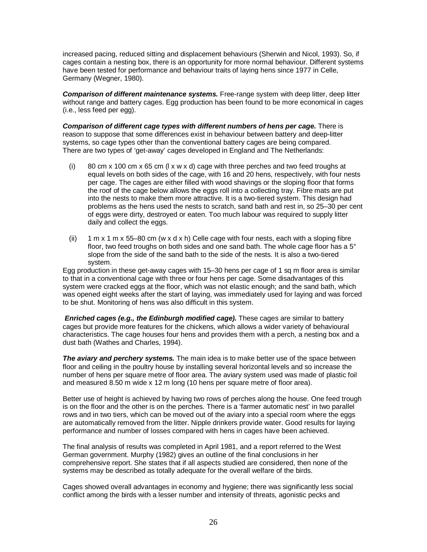increased pacing, reduced sitting and displacement behaviours (Sherwin and Nicol, 1993). So, if cages contain a nesting box, there is an opportunity for more normal behaviour. Different systems have been tested for performance and behaviour traits of laying hens since 1977 in Celle, Germany (Wegner, 1980).

*Comparison of different maintenance systems.* Free-range system with deep litter, deep litter without range and battery cages. Egg production has been found to be more economical in cages (i.e., less feed per egg).

*Comparison of different cage types with different numbers of hens per cage.* There is reason to suppose that some differences exist in behaviour between battery and deep-litter systems, so cage types other than the conventional battery cages are being compared. There are two types of 'get-away' cages developed in England and The Netherlands:

- (i) 80 cm  $\times$  100 cm  $\times$  65 cm ( $\times$  w  $\times$  d) cage with three perches and two feed troughs at equal levels on both sides of the cage, with 16 and 20 hens, respectively, with four nests per cage. The cages are either filled with wood shavings or the sloping floor that forms the roof of the cage below allows the eggs roll into a collecting tray. Fibre mats are put into the nests to make them more attractive. It is a two-tiered system. This design had problems as the hens used the nests to scratch, sand bath and rest in, so 25–30 per cent of eggs were dirty, destroyed or eaten. Too much labour was required to supply litter daily and collect the eggs.
- (ii) 1 m x 1 m x 55–80 cm (w x d x h) Celle cage with four nests, each with a sloping fibre floor, two feed troughs on both sides and one sand bath. The whole cage floor has a 5° slope from the side of the sand bath to the side of the nests. It is also a two-tiered system.

Egg production in these get-away cages with 15–30 hens per cage of 1 sq m floor area is similar to that in a conventional cage with three or four hens per cage. Some disadvantages of this system were cracked eggs at the floor, which was not elastic enough; and the sand bath, which was opened eight weeks after the start of laying, was immediately used for laying and was forced to be shut. Monitoring of hens was also difficult in this system.

*Enriched cages (e.g., the Edinburgh modified cage).* These cages are similar to battery cages but provide more features for the chickens, which allows a wider variety of behavioural characteristics. The cage houses four hens and provides them with a perch, a nesting box and a dust bath (Wathes and Charles, 1994).

**The aviary and perchery systems.** The main idea is to make better use of the space between floor and ceiling in the poultry house by installing several horizontal levels and so increase the number of hens per square metre of floor area. The aviary system used was made of plastic foil and measured 8.50 m wide x 12 m long (10 hens per square metre of floor area).

Better use of height is achieved by having two rows of perches along the house. One feed trough is on the floor and the other is on the perches. There is a 'farmer automatic nest' in two parallel rows and in two tiers, which can be moved out of the aviary into a special room where the eggs are automatically removed from the litter. Nipple drinkers provide water. Good results for laying performance and number of losses compared with hens in cages have been achieved.

The final analysis of results was completed in April 1981, and a report referred to the West German government. Murphy (1982) gives an outline of the final conclusions in her comprehensive report. She states that if all aspects studied are considered, then none of the systems may be described as totally adequate for the overall welfare of the birds.

Cages showed overall advantages in economy and hygiene; there was significantly less social conflict among the birds with a lesser number and intensity of threats, agonistic pecks and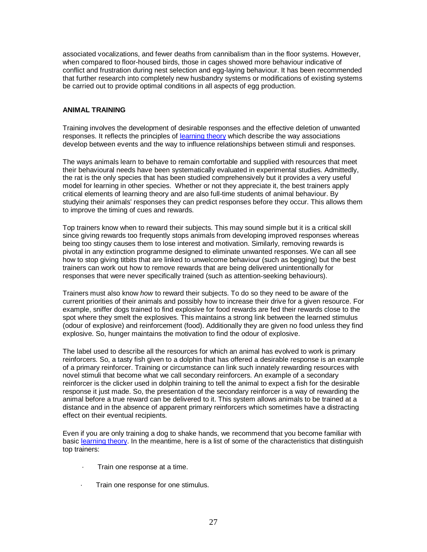associated vocalizations, and fewer deaths from cannibalism than in the floor systems. However, when compared to floor-housed birds, those in cages showed more behaviour indicative of conflict and frustration during nest selection and egg-laying behaviour. It has been recommended that further research into completely new husbandry systems or modifications of existing systems be carried out to provide optimal conditions in all aspects of egg production.

# **ANIMAL TRAINING**

Training involves the development of desirable responses and the effective deletion of unwanted responses. It reflects the principles of learning theory which describe the way associations develop between events and the way to influence relationships between stimuli and responses.

The ways animals learn to behave to remain comfortable and supplied with resources that meet their behavioural needs have been systematically evaluated in experimental studies. Admittedly, the rat is the only species that has been studied comprehensively but it provides a very useful model for learning in other species. Whether or not they appreciate it, the best trainers apply critical elements of learning theory and are also full-time students of animal behaviour. By studying their animals' responses they can predict responses before they occur. This allows them to improve the timing of cues and rewards.

Top trainers know when to reward their subjects. This may sound simple but it is a critical skill since giving rewards too frequently stops animals from developing improved responses whereas being too stingy causes them to lose interest and motivation. Similarly, removing rewards is pivotal in any extinction programme designed to eliminate unwanted responses. We can all see how to stop giving titbits that are linked to unwelcome behaviour (such as begging) but the best trainers can work out how to remove rewards that are being delivered unintentionally for responses that were never specifically trained (such as attention-seeking behaviours).

Trainers must also know *how* to reward their subjects. To do so they need to be aware of the current priorities of their animals and possibly how to increase their drive for a given resource. For example, sniffer dogs trained to find explosive for food rewards are fed their rewards close to the spot where they smelt the explosives. This maintains a strong link between the learned stimulus (odour of explosive) and reinforcement (food). Additionally they are given no food unless they find explosive. So, hunger maintains the motivation to find the odour of explosive.

The label used to describe all the resources for which an animal has evolved to work is primary reinforcers. So, a tasty fish given to a dolphin that has offered a desirable response is an example of a primary reinforcer. Training or circumstance can link such innately rewarding resources with novel stimuli that become what we call secondary reinforcers. An example of a secondary reinforcer is the clicker used in dolphin training to tell the animal to expect a fish for the desirable response it just made. So, the presentation of the secondary reinforcer is a way of rewarding the animal before a true reward can be delivered to it. This system allows animals to be trained at a distance and in the absence of apparent primary reinforcers which sometimes have a distracting effect on their eventual recipients.

Even if you are only training a dog to shake hands, we recommend that you become familiar with basic learning theory. In the meantime, here is a list of some of the characteristics that distinguish top trainers:

- · Train one response at a time.
- · Train one response for one stimulus.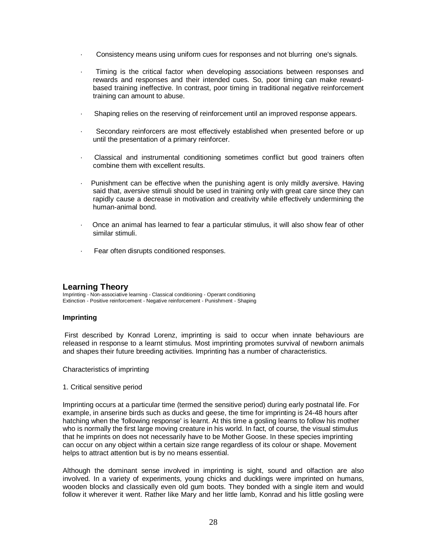- · Consistency means using uniform cues for responses and not blurring one's signals.
- · Timing is the critical factor when developing associations between responses and rewards and responses and their intended cues. So, poor timing can make rewardbased training ineffective. In contrast, poor timing in traditional negative reinforcement training can amount to abuse.
- · Shaping relies on the reserving of reinforcement until an improved response appears.
- Secondary reinforcers are most effectively established when presented before or up until the presentation of a primary reinforcer.
- · Classical and instrumental conditioning sometimes conflict but good trainers often combine them with excellent results.
- Punishment can be effective when the punishing agent is only mildly aversive. Having said that, aversive stimuli should be used in training only with great care since they can rapidly cause a decrease in motivation and creativity while effectively undermining the human-animal bond.
- · Once an animal has learned to fear a particular stimulus, it will also show fear of other similar stimuli.
- Fear often disrupts conditioned responses.

# **Learning Theory**

Imprinting - Non-associative learning - Classical conditioning - Operant conditioning Extinction - Positive reinforcement - Negative reinforcement - Punishment - Shaping

## **Imprinting**

First described by Konrad Lorenz, imprinting is said to occur when innate behaviours are released in response to a learnt stimulus. Most imprinting promotes survival of newborn animals and shapes their future breeding activities. Imprinting has a number of characteristics.

Characteristics of imprinting

1. Critical sensitive period

Imprinting occurs at a particular time (termed the sensitive period) during early postnatal life. For example, in anserine birds such as ducks and geese, the time for imprinting is 24-48 hours after hatching when the 'following response' is learnt. At this time a gosling learns to follow his mother who is normally the first large moving creature in his world. In fact, of course, the visual stimulus that he imprints on does not necessarily have to be Mother Goose. In these species imprinting can occur on any object within a certain size range regardless of its colour or shape. Movement helps to attract attention but is by no means essential.

Although the dominant sense involved in imprinting is sight, sound and olfaction are also involved. In a variety of experiments, young chicks and ducklings were imprinted on humans, wooden blocks and classically even old gum boots. They bonded with a single item and would follow it wherever it went. Rather like Mary and her little lamb, Konrad and his little gosling were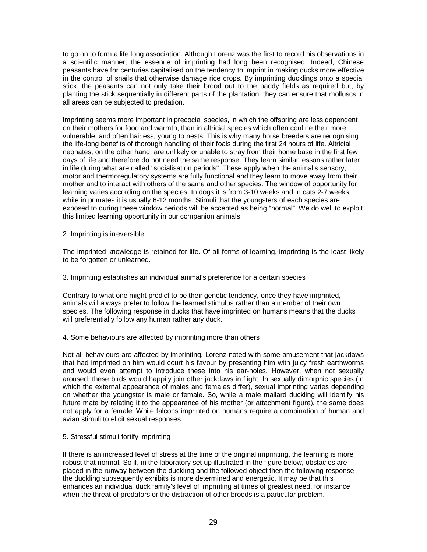to go on to form a life long association. Although Lorenz was the first to record his observations in a scientific manner, the essence of imprinting had long been recognised. Indeed, Chinese peasants have for centuries capitalised on the tendency to imprint in making ducks more effective in the control of snails that otherwise damage rice crops. By imprinting ducklings onto a special stick, the peasants can not only take their brood out to the paddy fields as required but, by planting the stick sequentially in different parts of the plantation, they can ensure that molluscs in all areas can be subjected to predation.

Imprinting seems more important in precocial species, in which the offspring are less dependent on their mothers for food and warmth, than in altricial species which often confine their more vulnerable, and often hairless, young to nests. This is why many horse breeders are recognising the life-long benefits of thorough handling of their foals during the first 24 hours of life. Altricial neonates, on the other hand, are unlikely or unable to stray from their home base in the first few days of life and therefore do not need the same response. They learn similar lessons rather later in life during what are called "socialisation periods". These apply when the animal's sensory, motor and thermoregulatory systems are fully functional and they learn to move away from their mother and to interact with others of the same and other species. The window of opportunity for learning varies according on the species. In dogs it is from 3-10 weeks and in cats 2-7 weeks, while in primates it is usually 6-12 months. Stimuli that the youngsters of each species are exposed to during these window periods will be accepted as being "normal". We do well to exploit this limited learning opportunity in our companion animals.

2. Imprinting is irreversible:

The imprinted knowledge is retained for life. Of all forms of learning, imprinting is the least likely to be forgotten or unlearned.

3. Imprinting establishes an individual animal's preference for a certain species

Contrary to what one might predict to be their genetic tendency, once they have imprinted, animals will always prefer to follow the learned stimulus rather than a member of their own species. The following response in ducks that have imprinted on humans means that the ducks will preferentially follow any human rather any duck.

4. Some behaviours are affected by imprinting more than others

Not all behaviours are affected by imprinting. Lorenz noted with some amusement that jackdaws that had imprinted on him would court his favour by presenting him with juicy fresh earthworms and would even attempt to introduce these into his ear-holes. However, when not sexually aroused, these birds would happily join other jackdaws in flight. In sexually dimorphic species (in which the external appearance of males and females differ), sexual imprinting varies depending on whether the youngster is male or female. So, while a male mallard duckling will identify his future mate by relating it to the appearance of his mother (or attachment figure), the same does not apply for a female. While falcons imprinted on humans require a combination of human and avian stimuli to elicit sexual responses.

5. Stressful stimuli fortify imprinting

If there is an increased level of stress at the time of the original imprinting, the learning is more robust that normal. So if, in the laboratory set up illustrated in the figure below, obstacles are placed in the runway between the duckling and the followed object then the following response the duckling subsequently exhibits is more determined and energetic. It may be that this enhances an individual duck family's level of imprinting at times of greatest need, for instance when the threat of predators or the distraction of other broods is a particular problem.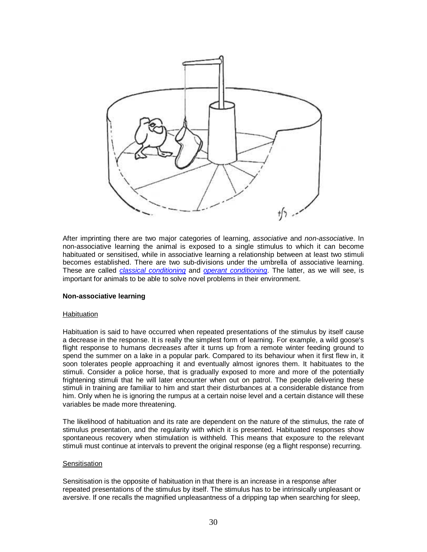

After imprinting there are two major categories of learning, *associative* and *non-associative*. In non-associative learning the animal is exposed to a single stimulus to which it can become habituated or sensitised, while in associative learning a relationship between at least two stimuli becomes established. There are two sub-divisions under the umbrella of associative learning. These are called *classical conditioning* and *operant conditioning*. The latter, as we will see, is important for animals to be able to solve novel problems in their environment.

## **Non-associative learning**

#### **Habituation**

Habituation is said to have occurred when repeated presentations of the stimulus by itself cause a decrease in the response. It is really the simplest form of learning. For example, a wild goose's flight response to humans decreases after it turns up from a remote winter feeding ground to spend the summer on a lake in a popular park. Compared to its behaviour when it first flew in, it soon tolerates people approaching it and eventually almost ignores them. It habituates to the stimuli. Consider a police horse, that is gradually exposed to more and more of the potentially frightening stimuli that he will later encounter when out on patrol. The people delivering these stimuli in training are familiar to him and start their disturbances at a considerable distance from him. Only when he is ignoring the rumpus at a certain noise level and a certain distance will these variables be made more threatening.

The likelihood of habituation and its rate are dependent on the nature of the stimulus, the rate of stimulus presentation, and the regularity with which it is presented. Habituated responses show spontaneous recovery when stimulation is withheld. This means that exposure to the relevant stimuli must continue at intervals to prevent the original response (eg a flight response) recurring.

#### **Sensitisation**

Sensitisation is the opposite of habituation in that there is an increase in a response after repeated presentations of the stimulus by itself. The stimulus has to be intrinsically unpleasant or aversive. If one recalls the magnified unpleasantness of a dripping tap when searching for sleep,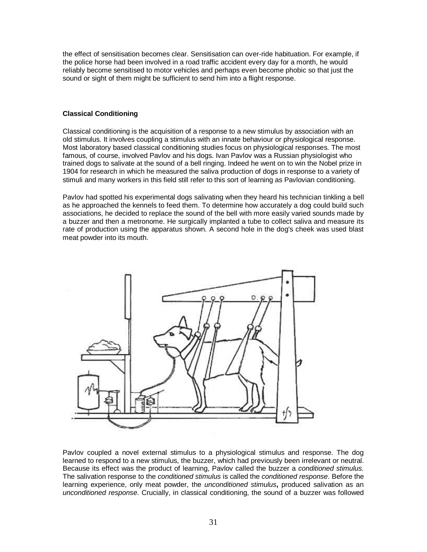the effect of sensitisation becomes clear. Sensitisation can over-ride habituation. For example, if the police horse had been involved in a road traffic accident every day for a month, he would reliably become sensitised to motor vehicles and perhaps even become phobic so that just the sound or sight of them might be sufficient to send him into a flight response.

# **Classical Conditioning**

Classical conditioning is the acquisition of a response to a new stimulus by association with an old stimulus. It involves coupling a stimulus with an innate behaviour or physiological response. Most laboratory based classical conditioning studies focus on physiological responses. The most famous, of course, involved Pavlov and his dogs. Ivan Pavlov was a Russian physiologist who trained dogs to salivate at the sound of a bell ringing. Indeed he went on to win the Nobel prize in 1904 for research in which he measured the saliva production of dogs in response to a variety of stimuli and many workers in this field still refer to this sort of learning as Pavlovian conditioning.

Pavlov had spotted his experimental dogs salivating when they heard his technician tinkling a bell as he approached the kennels to feed them. To determine how accurately a dog could build such associations, he decided to replace the sound of the bell with more easily varied sounds made by a buzzer and then a metronome. He surgically implanted a tube to collect saliva and measure its rate of production using the apparatus shown. A second hole in the dog's cheek was used blast meat powder into its mouth.



Pavlov coupled a novel external stimulus to a physiological stimulus and response. The dog learned to respond to a new stimulus, the buzzer, which had previously been irrelevant or neutral. Because its effect was the product of learning, Pavlov called the buzzer a *conditioned stimulus.* The salivation response to the *conditioned stimulus* is called the *conditioned response*. Before the learning experience, only meat powder, the *unconditioned stimulus***,** produced salivation as an *unconditioned response*. Crucially, in classical conditioning, the sound of a buzzer was followed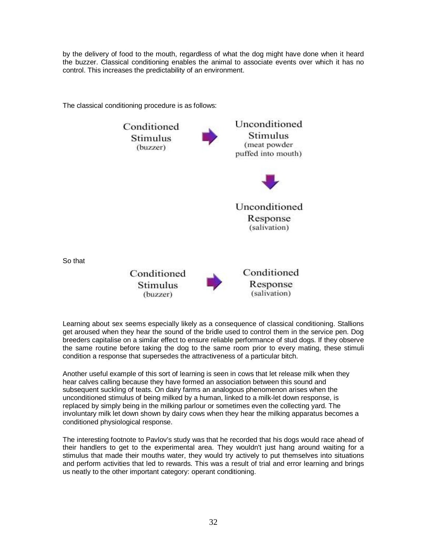by the delivery of food to the mouth, regardless of what the dog might have done when it heard the buzzer. Classical conditioning enables the animal to associate events over which it has no control. This increases the predictability of an environment.



The classical conditioning procedure is as follows:

So that

Learning about sex seems especially likely as a consequence of classical conditioning. Stallions get aroused when they hear the sound of the bridle used to control them in the service pen. Dog breeders capitalise on a similar effect to ensure reliable performance of stud dogs. If they observe the same routine before taking the dog to the same room prior to every mating, these stimuli condition a response that supersedes the attractiveness of a particular bitch.

Another useful example of this sort of learning is seen in cows that let release milk when they hear calves calling because they have formed an association between this sound and subsequent suckling of teats. On dairy farms an analogous phenomenon arises when the unconditioned stimulus of being milked by a human, linked to a milk-let down response, is replaced by simply being in the milking parlour or sometimes even the collecting yard. The involuntary milk let down shown by dairy cows when they hear the milking apparatus becomes a conditioned physiological response.

The interesting footnote to Pavlov's study was that he recorded that his dogs would race ahead of their handlers to get to the experimental area. They wouldn't just hang around waiting for a stimulus that made their mouths water, they would try actively to put themselves into situations and perform activities that led to rewards. This was a result of trial and error learning and brings us neatly to the other important category: operant conditioning.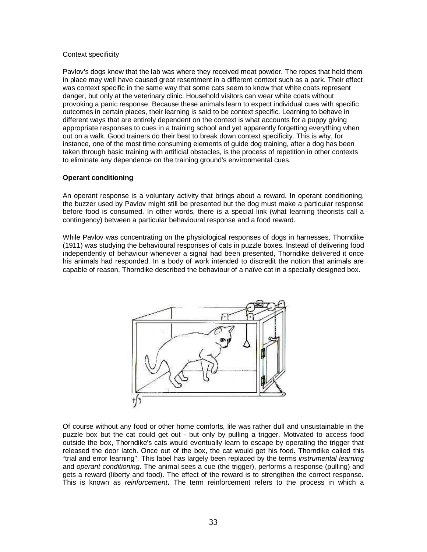## Context specificity

Pavlov's dogs knew that the lab was where they received meat powder. The ropes that held them in place may well have caused great resentment in a different context such as a park. Their effect was context specific in the same way that some cats seem to know that white coats represent danger, but only at the veterinary clinic. Household visitors can wear white coats without provoking a panic response. Because these animals learn to expect individual cues with specific outcomes in certain places, their learning is said to be context specific. Learning to behave in different ways that are entirely dependent on the context is what accounts for a puppy giving appropriate responses to cues in a training school and yet apparently forgetting everything when out on a walk. Good trainers do their best to break down context specificity. This is why, for instance, one of the most time consuming elements of guide dog training, after a dog has been taken through basic training with artificial obstacles, is the process of repetition in other contexts to eliminate any dependence on the training ground's environmental cues.

## **Operant conditioning**

An operant response is a voluntary activity that brings about a reward. In operant conditioning, the buzzer used by Pavlov might still be presented but the dog must make a particular response before food is consumed. In other words, there is a special link (what learning theorists call a contingency) between a particular behavioural response and a food reward.

While Pavlov was concentrating on the physiological responses of dogs in harnesses, Thorndike (1911) was studying the behavioural responses of cats in puzzle boxes. Instead of delivering food independently of behaviour whenever a signal had been presented, Thorndike delivered it once his animals had responded. In a body of work intended to discredit the notion that animals are capable of reason, Thorndike described the behaviour of a naïve cat in a specially designed box.



Of course without any food or other home comforts, life was rather dull and unsustainable in the puzzle box but the cat could get out - but only by pulling a trigger. Motivated to access food outside the box, Thorndike's cats would eventually learn to escape by operating the trigger that released the door latch. Once out of the box, the cat would get his food. Thorndike called this "trial and error learning". This label has largely been replaced by the terms *instrumental learning* and *operant conditioning*. The animal sees a cue (the trigger), performs a response (pulling) and gets a reward (liberty and food). The effect of the reward is to strengthen the correct response. This is known as *reinforcement***.** The term reinforcement refers to the process in which a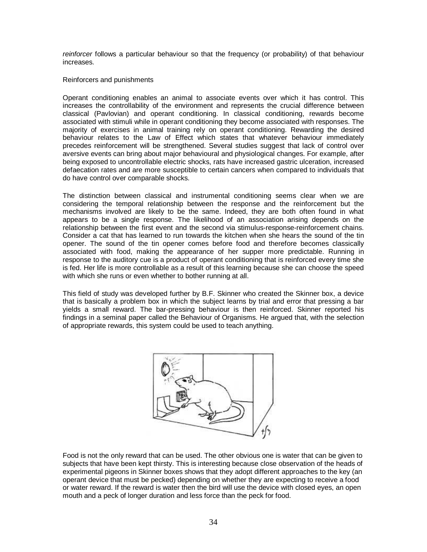*reinforcer* follows a particular behaviour so that the frequency (or probability) of that behaviour increases.

Reinforcers and punishments

Operant conditioning enables an animal to associate events over which it has control. This increases the controllability of the environment and represents the crucial difference between classical (Pavlovian) and operant conditioning. In classical conditioning, rewards become associated with stimuli while in operant conditioning they become associated with responses. The majority of exercises in animal training rely on operant conditioning. Rewarding the desired behaviour relates to the Law of Effect which states that whatever behaviour immediately precedes reinforcement will be strengthened. Several studies suggest that lack of control over aversive events can bring about major behavioural and physiological changes. For example, after being exposed to uncontrollable electric shocks, rats have increased gastric ulceration, increased defaecation rates and are more susceptible to certain cancers when compared to individuals that do have control over comparable shocks.

The distinction between classical and instrumental conditioning seems clear when we are considering the temporal relationship between the response and the reinforcement but the mechanisms involved are likely to be the same. Indeed, they are both often found in what appears to be a single response. The likelihood of an association arising depends on the relationship between the first event and the second via stimulus-response-reinforcement chains. Consider a cat that has learned to run towards the kitchen when she hears the sound of the tin opener. The sound of the tin opener comes before food and therefore becomes classically associated with food, making the appearance of her supper more predictable. Running in response to the auditory cue is a product of operant conditioning that is reinforced every time she is fed. Her life is more controllable as a result of this learning because she can choose the speed with which she runs or even whether to bother running at all.

This field of study was developed further by B.F. Skinner who created the Skinner box, a device that is basically a problem box in which the subject learns by trial and error that pressing a bar yields a small reward. The bar-pressing behaviour is then reinforced. Skinner reported his findings in a seminal paper called the Behaviour of Organisms. He argued that, with the selection of appropriate rewards, this system could be used to teach anything.



Food is not the only reward that can be used. The other obvious one is water that can be given to subjects that have been kept thirsty. This is interesting because close observation of the heads of experimental pigeons in Skinner boxes shows that they adopt different approaches to the key (an operant device that must be pecked) depending on whether they are expecting to receive a food or water reward. If the reward is water then the bird will use the device with closed eyes, an open mouth and a peck of longer duration and less force than the peck for food.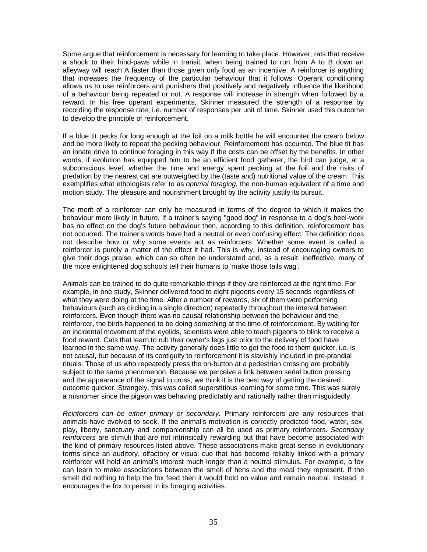Some argue that reinforcement is necessary for learning to take place. However, rats that receive a shock to their hind-paws while in transit, when being trained to run from A to B down an alleyway will reach A faster than those given only food as an incentive. A reinforcer is anything that increases the frequency of the particular behaviour that it follows. Operant conditioning allows us to use reinforcers and punishers that positively and negatively influence the likelihood of a behaviour being repeated or not. A response will increase in strength when followed by a reward. In his free operant experiments, Skinner measured the strength of a response by recording the response rate, i.e. number of responses per unit of time. Skinner used this outcome to develop the principle of reinforcement.

If a blue tit pecks for long enough at the foil on a milk bottle he will encounter the cream below and be more likely to repeat the pecking behaviour. Reinforcement has occurred. The blue tit has an innate drive to continue foraging in this way if the costs can be offset by the benefits. In other words, if evolution has equipped him to be an efficient food gatherer, the bird can judge, at a subconscious level, whether the time and energy spent pecking at the foil and the risks of predation by the nearest cat are outweighed by the (taste and) nutritional value of the cream. This exemplifies what ethologists refer to as *optimal foraging*, the non-human equivalent of a time and motion study. The pleasure and nourishment brought by the activity justify its pursuit.

The merit of a reinforcer can only be measured in terms of the degree to which it makes the behaviour more likely in future. If a trainer's saying "good dog" in response to a dog's heel-work has no effect on the dog's future behaviour then, according to this definition, reinforcement has not occurred. The trainer's words have had a neutral or even confusing effect. The definition does not describe how or why some events act as reinforcers. Whether some event is called a reinforcer is purely a matter of the effect it had. This is why, instead of encouraging owners to give their dogs praise, which can so often be understated and, as a result, ineffective, many of the more enlightened dog schools tell their humans to 'make those tails wag'.

Animals can be trained to do quite remarkable things if they are reinforced at the right time. For example, in one study, Skinner delivered food to eight pigeons every 15 seconds regardless of what they were doing at the time. After a number of rewards, six of them were performing behaviours (such as circling in a single direction) repeatedly throughout the interval between reinforcers. Even though there was no causal relationship between the behaviour and the reinforcer, the birds happened to be doing something at the time of reinforcement. By waiting for an incidental movement of the eyelids, scientists were able to teach pigeons to blink to receive a food reward. Cats that learn to rub their owner's legs just prior to the delivery of food have learned in the same way. The activity generally does little to get the food to them quicker, i.e. is not causal, but because of its contiguity to reinforcement it is slavishly included in pre-prandial rituals. Those of us who repeatedly press the on-button at a pedestrian crossing are probably subject to the same phenomenon. Because we perceive a link between serial button pressing and the appearance of the signal to cross, we think it is the best way of getting the desired outcome quicker. Strangely, this was called superstitious learning for some time. This was surely a misnomer since the pigeon was behaving predictably and rationally rather than misguidedly.

*Reinforcers can be either primary or secondary.* Primary reinforcers are any resources that animals have evolved to seek. If the animal's motivation is correctly predicted food, water, sex, play, liberty, sanctuary and companionship can all be used as primary reinforcers. *Secondary reinforcers* are stimuli that are not intrinsically rewarding but that have become associated with the kind of primary resources listed above. These associations make great sense in evolutionary terms since an auditory, olfactory or visual cue that has become reliably linked with a primary reinforcer will hold an animal's interest much longer than a neutral stimulus. For example, a fox can learn to make associations between the smell of hens and the meal they represent. If the smell did nothing to help the fox feed then it would hold no value and remain neutral. Instead, it encourages the fox to persist in its foraging activities.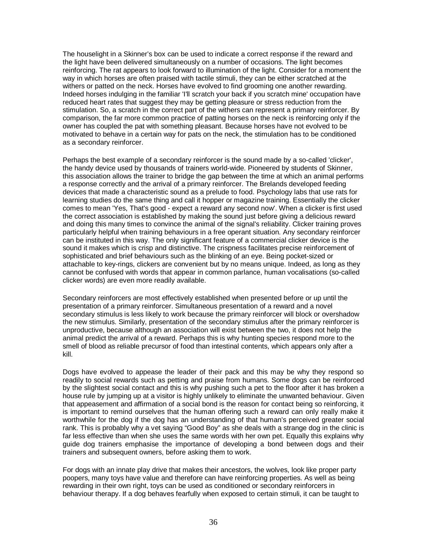The houselight in a Skinner's box can be used to indicate a correct response if the reward and the light have been delivered simultaneously on a number of occasions. The light becomes reinforcing. The rat appears to look forward to illumination of the light. Consider for a moment the way in which horses are often praised with tactile stimuli, they can be either scratched at the withers or patted on the neck. Horses have evolved to find grooming one another rewarding. Indeed horses indulging in the familiar 'I'll scratch your back if you scratch mine' occupation have reduced heart rates that suggest they may be getting pleasure or stress reduction from the stimulation. So, a scratch in the correct part of the withers can represent a primary reinforcer. By comparison, the far more common practice of patting horses on the neck is reinforcing only if the owner has coupled the pat with something pleasant. Because horses have not evolved to be motivated to behave in a certain way for pats on the neck, the stimulation has to be conditioned as a secondary reinforcer.

Perhaps the best example of a secondary reinforcer is the sound made by a so-called 'clicker', the handy device used by thousands of trainers world-wide. Pioneered by students of Skinner, this association allows the trainer to bridge the gap between the time at which an animal performs a response correctly and the arrival of a primary reinforcer. The Brelands developed feeding devices that made a characteristic sound as a prelude to food. Psychology labs that use rats for learning studies do the same thing and call it hopper or magazine training. Essentially the clicker comes to mean 'Yes, That's good - expect a reward any second now'. When a clicker is first used the correct association is established by making the sound just before giving a delicious reward and doing this many times to convince the animal of the signal's reliability. Clicker training proves particularly helpful when training behaviours in a free operant situation. Any secondary reinforcer can be instituted in this way. The only significant feature of a commercial clicker device is the sound it makes which is crisp and distinctive. The crispness facilitates precise reinforcement of sophisticated and brief behaviours such as the blinking of an eye. Being pocket-sized or attachable to key-rings, clickers are convenient but by no means unique. Indeed, as long as they cannot be confused with words that appear in common parlance, human vocalisations (so-called clicker words) are even more readily available.

Secondary reinforcers are most effectively established when presented before or up until the presentation of a primary reinforcer. Simultaneous presentation of a reward and a novel secondary stimulus is less likely to work because the primary reinforcer will block or overshadow the new stimulus. Similarly, presentation of the secondary stimulus after the primary reinforcer is unproductive, because although an association will exist between the two, it does not help the animal predict the arrival of a reward. Perhaps this is why hunting species respond more to the smell of blood as reliable precursor of food than intestinal contents, which appears only after a kill.

Dogs have evolved to appease the leader of their pack and this may be why they respond so readily to social rewards such as petting and praise from humans. Some dogs can be reinforced by the slightest social contact and this is why pushing such a pet to the floor after it has broken a house rule by jumping up at a visitor is highly unlikely to eliminate the unwanted behaviour. Given that appeasement and affirmation of a social bond is the reason for contact being so reinforcing, it is important to remind ourselves that the human offering such a reward can only really make it worthwhile for the dog if the dog has an understanding of that human's perceived greater social rank. This is probably why a vet saying "Good Boy" as she deals with a strange dog in the clinic is far less effective than when she uses the same words with her own pet. Equally this explains why guide dog trainers emphasise the importance of developing a bond between dogs and their trainers and subsequent owners, before asking them to work.

For dogs with an innate play drive that makes their ancestors, the wolves, look like proper party poopers, many toys have value and therefore can have reinforcing properties. As well as being rewarding in their own right, toys can be used as conditioned or secondary reinforcers in behaviour therapy. If a dog behaves fearfully when exposed to certain stimuli, it can be taught to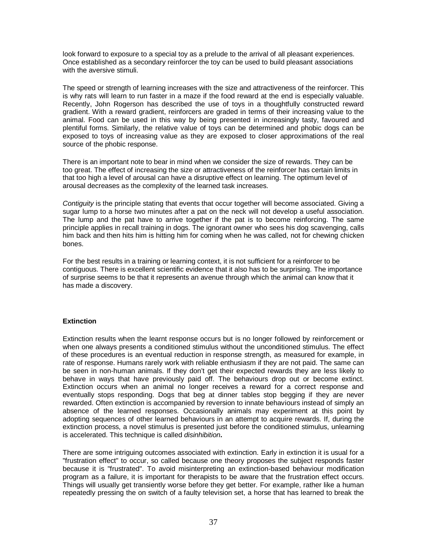look forward to exposure to a special toy as a prelude to the arrival of all pleasant experiences. Once established as a secondary reinforcer the toy can be used to build pleasant associations with the aversive stimuli.

The speed or strength of learning increases with the size and attractiveness of the reinforcer. This is why rats will learn to run faster in a maze if the food reward at the end is especially valuable. Recently, John Rogerson has described the use of toys in a thoughtfully constructed reward gradient. With a reward gradient, reinforcers are graded in terms of their increasing value to the animal. Food can be used in this way by being presented in increasingly tasty, favoured and plentiful forms. Similarly, the relative value of toys can be determined and phobic dogs can be exposed to toys of increasing value as they are exposed to closer approximations of the real source of the phobic response.

There is an important note to bear in mind when we consider the size of rewards. They can be too great. The effect of increasing the size or attractiveness of the reinforcer has certain limits in that too high a level of arousal can have a disruptive effect on learning. The optimum level of arousal decreases as the complexity of the learned task increases.

*Contiguity* is the principle stating that events that occur together will become associated. Giving a sugar lump to a horse two minutes after a pat on the neck will not develop a useful association. The lump and the pat have to arrive together if the pat is to become reinforcing. The same principle applies in recall training in dogs. The ignorant owner who sees his dog scavenging, calls him back and then hits him is hitting him for coming when he was called, not for chewing chicken bones.

For the best results in a training or learning context, it is not sufficient for a reinforcer to be contiguous. There is excellent scientific evidence that it also has to be surprising. The importance of surprise seems to be that it represents an avenue through which the animal can know that it has made a discovery.

# **Extinction**

Extinction results when the learnt response occurs but is no longer followed by reinforcement or when one always presents a conditioned stimulus without the unconditioned stimulus. The effect of these procedures is an eventual reduction in response strength, as measured for example, in rate of response. Humans rarely work with reliable enthusiasm if they are not paid. The same can be seen in non-human animals. If they don't get their expected rewards they are less likely to behave in ways that have previously paid off. The behaviours drop out or become extinct. Extinction occurs when an animal no longer receives a reward for a correct response and eventually stops responding. Dogs that beg at dinner tables stop begging if they are never rewarded. Often extinction is accompanied by reversion to innate behaviours instead of simply an absence of the learned responses. Occasionally animals may experiment at this point by adopting sequences of other learned behaviours in an attempt to acquire rewards. If, during the extinction process, a novel stimulus is presented just before the conditioned stimulus, unlearning is accelerated. This technique is called *disinhibition***.**

There are some intriguing outcomes associated with extinction. Early in extinction it is usual for a "frustration effect" to occur, so called because one theory proposes the subject responds faster because it is "frustrated". To avoid misinterpreting an extinction-based behaviour modification program as a failure, it is important for therapists to be aware that the frustration effect occurs. Things will usually get transiently worse before they get better. For example, rather like a human repeatedly pressing the on switch of a faulty television set, a horse that has learned to break the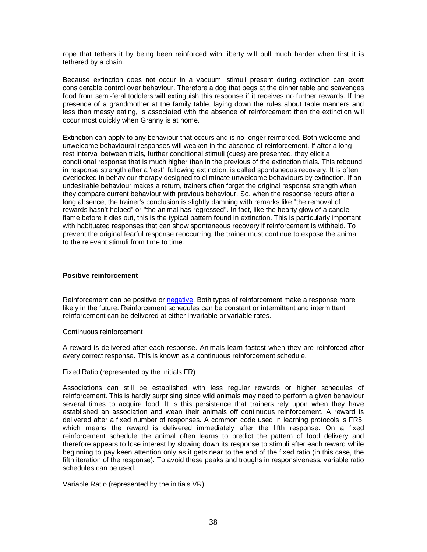rope that tethers it by being been reinforced with liberty will pull much harder when first it is tethered by a chain.

Because extinction does not occur in a vacuum, stimuli present during extinction can exert considerable control over behaviour. Therefore a dog that begs at the dinner table and scavenges food from semi-feral toddlers will extinguish this response if it receives no further rewards. If the presence of a grandmother at the family table, laying down the rules about table manners and less than messy eating, is associated with the absence of reinforcement then the extinction will occur most quickly when Granny is at home.

Extinction can apply to any behaviour that occurs and is no longer reinforced. Both welcome and unwelcome behavioural responses will weaken in the absence of reinforcement. If after a long rest interval between trials, further conditional stimuli (cues) are presented, they elicit a conditional response that is much higher than in the previous of the extinction trials. This rebound in response strength after a 'rest', following extinction, is called spontaneous recovery. It is often overlooked in behaviour therapy designed to eliminate unwelcome behaviours by extinction. If an undesirable behaviour makes a return, trainers often forget the original response strength when they compare current behaviour with previous behaviour. So, when the response recurs after a long absence, the trainer's conclusion is slightly damning with remarks like "the removal of rewards hasn't helped" or "the animal has regressed". In fact, like the hearty glow of a candle flame before it dies out, this is the typical pattern found in extinction. This is particularly important with habituated responses that can show spontaneous recovery if reinforcement is withheld. To prevent the original fearful response reoccurring, the trainer must continue to expose the animal to the relevant stimuli from time to time.

## **Positive reinforcement**

Reinforcement can be positive or negative. Both types of reinforcement make a response more likely in the future. Reinforcement schedules can be constant or intermittent and intermittent reinforcement can be delivered at either invariable or variable rates.

Continuous reinforcement

A reward is delivered after each response. Animals learn fastest when they are reinforced after every correct response. This is known as a continuous reinforcement schedule.

Fixed Ratio (represented by the initials FR)

Associations can still be established with less regular rewards or higher schedules of reinforcement. This is hardly surprising since wild animals may need to perform a given behaviour several times to acquire food. It is this persistence that trainers rely upon when they have established an association and wean their animals off continuous reinforcement. A reward is delivered after a fixed number of responses. A common code used in learning protocols is FR5, which means the reward is delivered immediately after the fifth response. On a fixed reinforcement schedule the animal often learns to predict the pattern of food delivery and therefore appears to lose interest by slowing down its response to stimuli after each reward while beginning to pay keen attention only as it gets near to the end of the fixed ratio (in this case, the fifth iteration of the response). To avoid these peaks and troughs in responsiveness, variable ratio schedules can be used.

Variable Ratio (represented by the initials VR)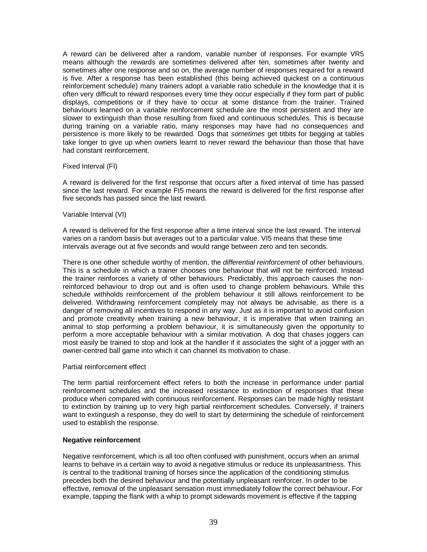A reward can be delivered after a random, variable number of responses. For example VR5 means although the rewards are sometimes delivered after ten, sometimes after twenty and sometimes after one response and so on, the average number of responses required for a reward is five. After a response has been established (this being achieved quickest on a continuous reinforcement schedule) many trainers adopt a variable ratio schedule in the knowledge that it is often very difficult to reward responses every time they occur especially if they form part of public displays, competitions or if they have to occur at some distance from the trainer. Trained behaviours learned on a variable reinforcement schedule are the most persistent and they are slower to extinguish than those resulting from fixed and continuous schedules. This is because during training on a variable ratio, many responses may have had no consequences and persistence is more likely to be rewarded. Dogs that *sometimes* get titbits for begging at tables take longer to give up when owners learnt to never reward the behaviour than those that have had constant reinforcement.

## Fixed Interval (FI)

A reward is delivered for the first response that occurs after a fixed interval of time has passed since the last reward. For example FI5 means the reward is delivered for the first response after five seconds has passed since the last reward.

## Variable Interval (VI)

A reward is delivered for the first response after a time interval since the last reward. The interval varies on a random basis but averages out to a particular value. VI5 means that these time intervals average out at five seconds and would range between zero and ten seconds.

There is one other schedule worthy of mention, the *differential reinforcement* of other behaviours. This is a schedule in which a trainer chooses one behaviour that will not be reinforced. Instead the trainer reinforces a variety of other behaviours. Predictably, this approach causes the nonreinforced behaviour to drop out and is often used to change problem behaviours. While this schedule withholds reinforcement of the problem behaviour it still allows reinforcement to be delivered. Withdrawing reinforcement completely may not always be advisable, as there is a danger of removing all incentives to respond in any way. Just as it is important to avoid confusion and promote creativity when training a new behaviour, it is imperative that when training an animal to stop performing a problem behaviour, it is simultaneously given the opportunity to perform a more acceptable behaviour with a similar motivation. A dog that chases joggers can most easily be trained to stop and look at the handler if it associates the sight of a jogger with an owner-centred ball game into which it can channel its motivation to chase.

## Partial reinforcement effect

The term partial reinforcement effect refers to both the increase in performance under partial reinforcement schedules and the increased resistance to extinction of responses that these produce when compared with continuous reinforcement. Responses can be made highly resistant to extinction by training up to very high partial reinforcement schedules. Conversely, if trainers want to extinguish a response, they do well to start by determining the schedule of reinforcement used to establish the response.

## **Negative reinforcement**

Negative reinforcement, which is all too often confused with punishment, occurs when an animal learns to behave in a certain way to avoid a negative stimulus or reduce its unpleasantness. This is central to the traditional training of horses since the application of the conditioning stimulus precedes both the desired behaviour and the potentially unpleasant reinforcer. In order to be effective, removal of the unpleasant sensation must immediately follow the correct behaviour. For example, tapping the flank with a whip to prompt sidewards movement is effective if the tapping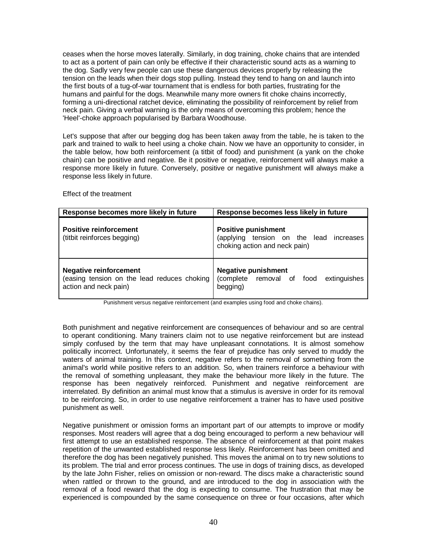ceases when the horse moves laterally. Similarly, in dog training, choke chains that are intended to act as a portent of pain can only be effective if their characteristic sound acts as a warning to the dog. Sadly very few people can use these dangerous devices properly by releasing the tension on the leads when their dogs stop pulling. Instead they tend to hang on and launch into the first bouts of a tug-of-war tournament that is endless for both parties, frustrating for the humans and painful for the dogs. Meanwhile many more owners fit choke chains incorrectly, forming a uni-directional ratchet device, eliminating the possibility of reinforcement by relief from neck pain. Giving a verbal warning is the only means of overcoming this problem; hence the 'Heel'-choke approach popularised by Barbara Woodhouse.

Let's suppose that after our begging dog has been taken away from the table, he is taken to the park and trained to walk to heel using a choke chain. Now we have an opportunity to consider, in the table below, how both reinforcement (a titbit of food) and punishment (a yank on the choke chain) can be positive and negative. Be it positive or negative, reinforcement will always make a response more likely in future. Conversely, positive or negative punishment will always make a response less likely in future.

| Response becomes more likely in future                                                                | Response becomes less likely in future                                                                    |
|-------------------------------------------------------------------------------------------------------|-----------------------------------------------------------------------------------------------------------|
| <b>Positive reinforcement</b><br>(titbit reinforces begging)                                          | <b>Positive punishment</b><br>(applying tension on the lead<br>increases<br>choking action and neck pain) |
| <b>Negative reinforcement</b><br>(easing tension on the lead reduces choking<br>action and neck pain) | <b>Negative punishment</b><br>(complete removal of food<br>extinguishes<br>begging)                       |

Effect of the treatment

Punishment versus negative reinforcement (and examples using food and choke chains).

Both punishment and negative reinforcement are consequences of behaviour and so are central to operant conditioning. Many trainers claim not to use negative reinforcement but are instead simply confused by the term that may have unpleasant connotations. It is almost somehow politically incorrect. Unfortunately, it seems the fear of prejudice has only served to muddy the waters of animal training. In this context, negative refers to the removal of something from the animal's world while positive refers to an addition. So, when trainers reinforce a behaviour with the removal of something unpleasant, they make the behaviour more likely in the future. The response has been negatively reinforced. Punishment and negative reinforcement are interrelated. By definition an animal must know that a stimulus is aversive in order for its removal to be reinforcing. So, in order to use negative reinforcement a trainer has to have used positive punishment as well.

Negative punishment or omission forms an important part of our attempts to improve or modify responses. Most readers will agree that a dog being encouraged to perform a new behaviour will first attempt to use an established response. The absence of reinforcement at that point makes repetition of the unwanted established response less likely. Reinforcement has been omitted and therefore the dog has been negatively punished. This moves the animal on to try new solutions to its problem. The trial and error process continues. The use in dogs of training discs, as developed by the late John Fisher, relies on omission or non-reward. The discs make a characteristic sound when rattled or thrown to the ground, and are introduced to the dog in association with the removal of a food reward that the dog is expecting to consume. The frustration that may be experienced is compounded by the same consequence on three or four occasions, after which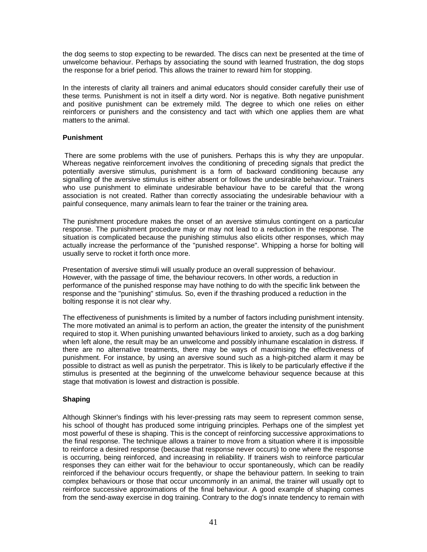the dog seems to stop expecting to be rewarded. The discs can next be presented at the time of unwelcome behaviour. Perhaps by associating the sound with learned frustration, the dog stops the response for a brief period. This allows the trainer to reward him for stopping.

In the interests of clarity all trainers and animal educators should consider carefully their use of these terms. Punishment is not in itself a dirty word. Nor is negative. Both negative punishment and positive punishment can be extremely mild. The degree to which one relies on either reinforcers or punishers and the consistency and tact with which one applies them are what matters to the animal.

# **Punishment**

There are some problems with the use of punishers. Perhaps this is why they are unpopular. Whereas negative reinforcement involves the conditioning of preceding signals that predict the potentially aversive stimulus, punishment is a form of backward conditioning because any signalling of the aversive stimulus is either absent or follows the undesirable behaviour. Trainers who use punishment to eliminate undesirable behaviour have to be careful that the wrong association is not created. Rather than correctly associating the undesirable behaviour with a painful consequence, many animals learn to fear the trainer or the training area.

The punishment procedure makes the onset of an aversive stimulus contingent on a particular response. The punishment procedure may or may not lead to a reduction in the response. The situation is complicated because the punishing stimulus also elicits other responses, which may actually increase the performance of the "punished response". Whipping a horse for bolting will usually serve to rocket it forth once more.

Presentation of aversive stimuli will usually produce an overall suppression of behaviour. However, with the passage of time, the behaviour recovers. In other words, a reduction in performance of the punished response may have nothing to do with the specific link between the response and the "punishing" stimulus. So, even if the thrashing produced a reduction in the bolting response it is not clear why.

The effectiveness of punishments is limited by a number of factors including punishment intensity. The more motivated an animal is to perform an action, the greater the intensity of the punishment required to stop it. When punishing unwanted behaviours linked to anxiety, such as a dog barking when left alone, the result may be an unwelcome and possibly inhumane escalation in distress. If there are no alternative treatments, there may be ways of maximising the effectiveness of punishment. For instance, by using an aversive sound such as a high-pitched alarm it may be possible to distract as well as punish the perpetrator. This is likely to be particularly effective if the stimulus is presented at the beginning of the unwelcome behaviour sequence because at this stage that motivation is lowest and distraction is possible.

# **Shaping**

Although Skinner's findings with his lever-pressing rats may seem to represent common sense, his school of thought has produced some intriguing principles. Perhaps one of the simplest yet most powerful of these is shaping. This is the concept of reinforcing successive approximations to the final response. The technique allows a trainer to move from a situation where it is impossible to reinforce a desired response (because that response never occurs) to one where the response is occurring, being reinforced, and increasing in reliability. If trainers wish to reinforce particular responses they can either wait for the behaviour to occur spontaneously, which can be readily reinforced if the behaviour occurs frequently, or shape the behaviour pattern. In seeking to train complex behaviours or those that occur uncommonly in an animal, the trainer will usually opt to reinforce successive approximations of the final behaviour. A good example of shaping comes from the send-away exercise in dog training. Contrary to the dog's innate tendency to remain with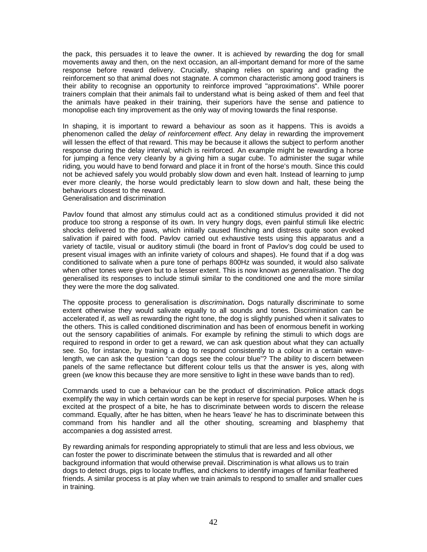the pack, this persuades it to leave the owner. It is achieved by rewarding the dog for small movements away and then, on the next occasion, an all-important demand for more of the same response before reward delivery. Crucially, shaping relies on sparing and grading the reinforcement so that animal does not stagnate. A common characteristic among good trainers is their ability to recognise an opportunity to reinforce improved "approximations". While poorer trainers complain that their animals fail to understand what is being asked of them and feel that the animals have peaked in their training, their superiors have the sense and patience to monopolise each tiny improvement as the only way of moving towards the final response.

In shaping, it is important to reward a behaviour as soon as it happens. This is avoids a phenomenon called the *delay of reinforcement effect*. Any delay in rewarding the improvement will lessen the effect of that reward. This may be because it allows the subject to perform another response during the delay interval, which is reinforced. An example might be rewarding a horse for jumping a fence very cleanly by a giving him a sugar cube. To administer the sugar while riding, you would have to bend forward and place it in front of the horse's mouth. Since this could not be achieved safely you would probably slow down and even halt. Instead of learning to jump ever more cleanly, the horse would predictably learn to slow down and halt, these being the behaviours closest to the reward.

Generalisation and discrimination

Pavlov found that almost any stimulus could act as a conditioned stimulus provided it did not produce too strong a response of its own. In very hungry dogs, even painful stimuli like electric shocks delivered to the paws, which initially caused flinching and distress quite soon evoked salivation if paired with food. Pavlov carried out exhaustive tests using this apparatus and a variety of tactile, visual or auditory stimuli (the board in front of Pavlov's dog could be used to present visual images with an infinite variety of colours and shapes). He found that if a dog was conditioned to salivate when a pure tone of perhaps 800Hz was sounded, it would also salivate when other tones were given but to a lesser extent. This is now known as *generalisation*. The dog generalised its responses to include stimuli similar to the conditioned one and the more similar they were the more the dog salivated.

The opposite process to generalisation is *discrimination***.** Dogs naturally discriminate to some extent otherwise they would salivate equally to all sounds and tones. Discrimination can be accelerated if, as well as rewarding the right tone, the dog is slightly punished when it salivates to the others. This is called conditioned discrimination and has been of enormous benefit in working out the sensory capabilities of animals. For example by refining the stimuli to which dogs are required to respond in order to get a reward, we can ask question about what they can actually see. So, for instance, by training a dog to respond consistently to a colour in a certain wavelength, we can ask the question "can dogs see the colour blue"? The ability to discern between panels of the same reflectance but different colour tells us that the answer is yes, along with green (we know this because they are more sensitive to light in these wave bands than to red).

Commands used to cue a behaviour can be the product of discrimination. Police attack dogs exemplify the way in which certain words can be kept in reserve for special purposes. When he is excited at the prospect of a bite, he has to discriminate between words to discern the release command. Equally, after he has bitten, when he hears 'leave' he has to discriminate between this command from his handler and all the other shouting, screaming and blasphemy that accompanies a dog assisted arrest.

By rewarding animals for responding appropriately to stimuli that are less and less obvious, we can foster the power to discriminate between the stimulus that is rewarded and all other background information that would otherwise prevail. Discrimination is what allows us to train dogs to detect drugs, pigs to locate truffles, and chickens to identify images of familiar feathered friends. A similar process is at play when we train animals to respond to smaller and smaller cues in training.